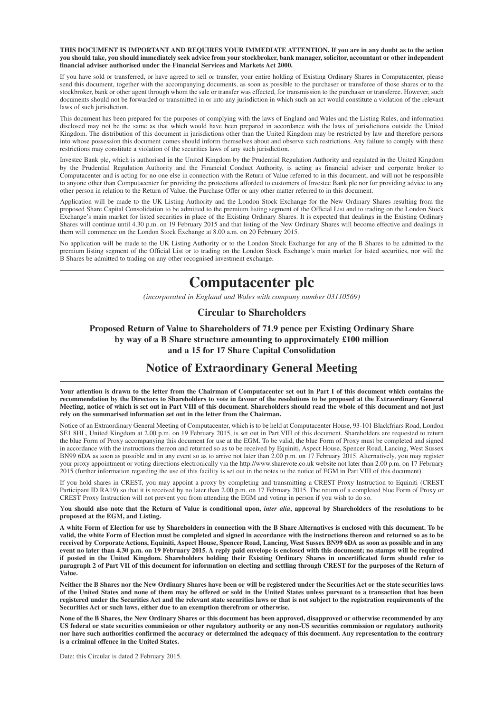**THIS DOCUMENT IS IMPORTANT AND REQUIRES YOUR IMMEDIATE ATTENTION. If you are in any doubt as to the action you should take, you should immediately seek advice from your stockbroker, bank manager, solicitor, accountant or other independent financial adviser authorised under the Financial Services and Markets Act 2000.**

If you have sold or transferred, or have agreed to sell or transfer, your entire holding of Existing Ordinary Shares in Computacenter, please send this document, together with the accompanying documents, as soon as possible to the purchaser or transferee of those shares or to the stockbroker, bank or other agent through whom the sale or transfer was effected, for transmission to the purchaser or transferee. However, such documents should not be forwarded or transmitted in or into any jurisdiction in which such an act would constitute a violation of the relevant laws of such jurisdiction.

This document has been prepared for the purposes of complying with the laws of England and Wales and the Listing Rules, and information disclosed may not be the same as that which would have been prepared in accordance with the laws of jurisdictions outside the United Kingdom. The distribution of this document in jurisdictions other than the United Kingdom may be restricted by law and therefore persons into whose possession this document comes should inform themselves about and observe such restrictions. Any failure to comply with these restrictions may constitute a violation of the securities laws of any such jurisdiction.

Investec Bank plc, which is authorised in the United Kingdom by the Prudential Regulation Authority and regulated in the United Kingdom by the Prudential Regulation Authority and the Financial Conduct Authority, is acting as financial adviser and corporate broker to Computacenter and is acting for no one else in connection with the Return of Value referred to in this document, and will not be responsible to anyone other than Computacenter for providing the protections afforded to customers of Investec Bank plc nor for providing advice to any other person in relation to the Return of Value, the Purchase Offer or any other matter referred to in this document.

Application will be made to the UK Listing Authority and the London Stock Exchange for the New Ordinary Shares resulting from the proposed Share Capital Consolidation to be admitted to the premium listing segment of the Official List and to trading on the London Stock Exchange's main market for listed securities in place of the Existing Ordinary Shares. It is expected that dealings in the Existing Ordinary Shares will continue until 4.30 p.m. on 19 February 2015 and that listing of the New Ordinary Shares will become effective and dealings in them will commence on the London Stock Exchange at 8.00 a.m. on 20 February 2015.

No application will be made to the UK Listing Authority or to the London Stock Exchange for any of the B Shares to be admitted to the premium listing segment of the Official List or to trading on the London Stock Exchange's main market for listed securities, nor will the B Shares be admitted to trading on any other recognised investment exchange.

# **Computacenter plc**

*(incorporated in England and Wales with company number 03110569)*

#### **Circular to Shareholders**

**Proposed Return of Value to Shareholders of 71.9 pence per Existing Ordinary Share by way of a B Share structure amounting to approximately £100 million and a 15 for 17 Share Capital Consolidation**

# **Notice of Extraordinary General Meeting**

**Your attention is drawn to the letter from the Chairman of Computacenter set out in Part I of this document which contains the recommendation by the Directors to Shareholders to vote in favour of the resolutions to be proposed at the Extraordinary General Meeting, notice of which is set out in Part VIII of this document. Shareholders should read the whole of this document and not just rely on the summarised information set out in the letter from the Chairman.**

Notice of an Extraordinary General Meeting of Computacenter, which is to be held at Computacenter House, 93-101 Blackfriars Road, London SE1 8HL, United Kingdom at 2.00 p.m. on 19 February 2015, is set out in Part VIII of this document. Shareholders are requested to return the blue Form of Proxy accompanying this document for use at the EGM. To be valid, the blue Form of Proxy must be completed and signed in accordance with the instructions thereon and returned so as to be received by Equiniti, Aspect House, Spencer Road, Lancing, West Sussex BN99 6DA as soon as possible and in any event so as to arrive not later than 2.00 p.m. on 17 February 2015. Alternatively, you may register your proxy appointment or voting directions electronically via the http://www.sharevote.co.uk website not later than 2.00 p.m. on 17 February 2015 (further information regarding the use of this facility is set out in the notes to the notice of EGM in Part VIII of this document).

If you hold shares in CREST, you may appoint a proxy by completing and transmitting a CREST Proxy Instruction to Equiniti (CREST Participant ID RA19) so that it is received by no later than 2.00 p.m. on 17 February 2015. The return of a completed blue Form of Proxy or CREST Proxy Instruction will not prevent you from attending the EGM and voting in person if you wish to do so.

Y**ou should also note that the Return of Value is conditional upon,** *inter alia***, approval by Shareholders of the resolutions to be proposed at the EGM, and Listing.**

**A white Form of Election for use by Shareholders in connection with the B Share Alternatives is enclosed with this document. To be valid, the white Form of Election must be completed and signed in accordance with the instructions thereon and returned so as to be received by Corporate Actions, Equiniti, Aspect House, Spencer Road, Lancing, West Sussex BN99 6DA as soon as possible and in any event no later than 4.30 p.m. on 19 February 2015. A reply paid envelope is enclosed with this document; no stamps will be required if posted in the United Kingdom. Shareholders holding their Existing Ordinary Shares in uncertificated form should refer to paragraph 2 of Part VII of this document for information on electing and settling through CREST for the purposes of the Return of Value.**

**Neither the B Shares nor the New Ordinary Shares have been or will be registered under the Securities Act or the state securities laws of the United States and none of them may be offered or sold in the United States unless pursuant to a transaction that has been registered under the Securities Act and the relevant state securities laws or that is not subject to the registration requirements of the Securities Act or such laws, either due to an exemption therefrom or otherwise.**

**None of the B Shares, the New Ordinary Shares or this document has been approved, disapproved or otherwise recommended by any US federal or state securities commission or other regulatory authority or any non-US securities commission or regulatory authority nor have such authorities confirmed the accuracy or determined the adequacy of this document. Any representation to the contrary is a criminal offence in the United States.**

Date: this Circular is dated 2 February 2015.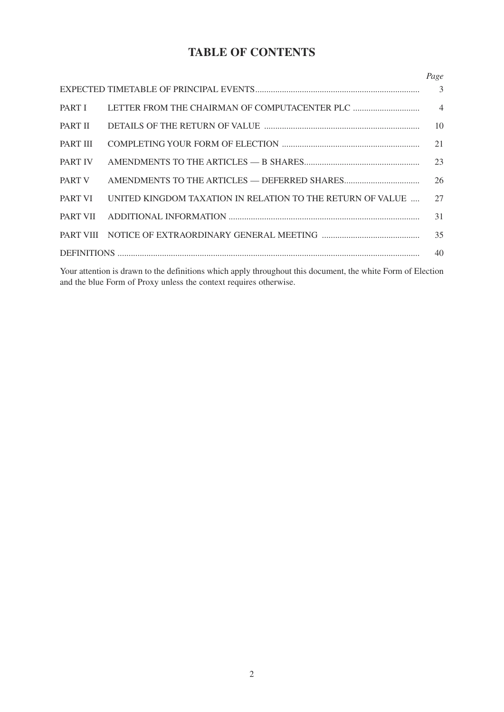# **TABLE OF CONTENTS**

|                 |                                                            | Page |
|-----------------|------------------------------------------------------------|------|
|                 |                                                            |      |
| PART I          |                                                            |      |
| PART II         |                                                            | 10   |
| <b>PART III</b> |                                                            | 21   |
| <b>PART IV</b>  |                                                            | 23   |
| PART V          |                                                            | 26   |
| <b>PART VI</b>  | UNITED KINGDOM TAXATION IN RELATION TO THE RETURN OF VALUE | 27   |
|                 |                                                            | 31   |
|                 |                                                            | 35   |
|                 |                                                            | 40   |

Your attention is drawn to the definitions which apply throughout this document, the white Form of Election and the blue Form of Proxy unless the context requires otherwise.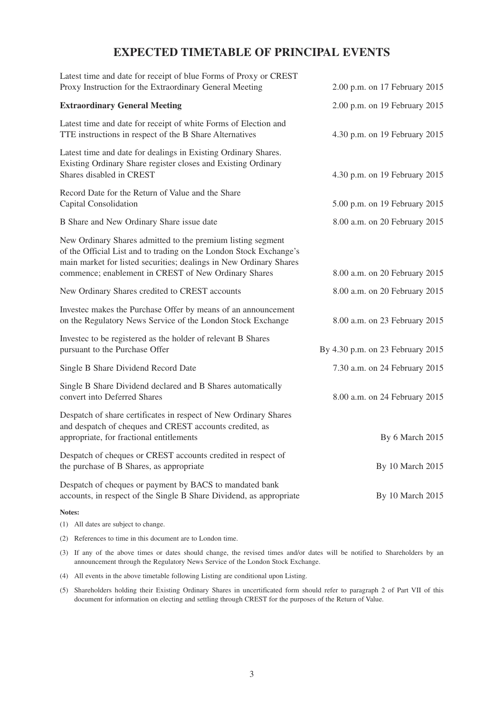# **EXPECTED TIMETABLE OF PRINCIPAL EVENTS**

| Latest time and date for receipt of blue Forms of Proxy or CREST<br>Proxy Instruction for the Extraordinary General Meeting                                                                             | 2.00 p.m. on 17 February 2015    |
|---------------------------------------------------------------------------------------------------------------------------------------------------------------------------------------------------------|----------------------------------|
| <b>Extraordinary General Meeting</b>                                                                                                                                                                    | 2.00 p.m. on 19 February 2015    |
| Latest time and date for receipt of white Forms of Election and<br>TTE instructions in respect of the B Share Alternatives                                                                              | 4.30 p.m. on 19 February 2015    |
| Latest time and date for dealings in Existing Ordinary Shares.<br>Existing Ordinary Share register closes and Existing Ordinary<br>Shares disabled in CREST                                             | 4.30 p.m. on 19 February 2015    |
| Record Date for the Return of Value and the Share<br>Capital Consolidation                                                                                                                              | 5.00 p.m. on 19 February 2015    |
| B Share and New Ordinary Share issue date                                                                                                                                                               | 8.00 a.m. on 20 February 2015    |
| New Ordinary Shares admitted to the premium listing segment<br>of the Official List and to trading on the London Stock Exchange's<br>main market for listed securities; dealings in New Ordinary Shares |                                  |
| commence; enablement in CREST of New Ordinary Shares                                                                                                                                                    | 8.00 a.m. on 20 February 2015    |
| New Ordinary Shares credited to CREST accounts                                                                                                                                                          | 8.00 a.m. on 20 February 2015    |
| Investec makes the Purchase Offer by means of an announcement<br>on the Regulatory News Service of the London Stock Exchange                                                                            | 8.00 a.m. on 23 February 2015    |
| Invested to be registered as the holder of relevant B Shares<br>pursuant to the Purchase Offer                                                                                                          | By 4.30 p.m. on 23 February 2015 |
| Single B Share Dividend Record Date                                                                                                                                                                     | 7.30 a.m. on 24 February 2015    |
| Single B Share Dividend declared and B Shares automatically<br>convert into Deferred Shares                                                                                                             | 8.00 a.m. on 24 February 2015    |
| Despatch of share certificates in respect of New Ordinary Shares<br>and despatch of cheques and CREST accounts credited, as<br>appropriate, for fractional entitlements                                 | By 6 March 2015                  |
| Despatch of cheques or CREST accounts credited in respect of<br>the purchase of B Shares, as appropriate                                                                                                | By 10 March 2015                 |
| Despatch of cheques or payment by BACS to mandated bank<br>accounts, in respect of the Single B Share Dividend, as appropriate                                                                          | By 10 March 2015                 |
| Notes:                                                                                                                                                                                                  |                                  |

- (1) All dates are subject to change.
- (2) References to time in this document are to London time.
- (3) If any of the above times or dates should change, the revised times and/or dates will be notified to Shareholders by an announcement through the Regulatory News Service of the London Stock Exchange.
- (4) All events in the above timetable following Listing are conditional upon Listing.
- (5) Shareholders holding their Existing Ordinary Shares in uncertificated form should refer to paragraph 2 of Part VII of this document for information on electing and settling through CREST for the purposes of the Return of Value.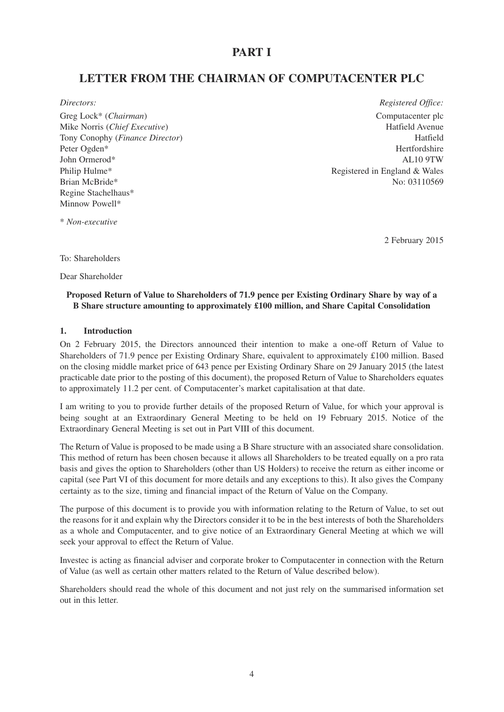# **PART I**

# **LETTER FROM THE CHAIRMAN OF COMPUTACENTER PLC**

Greg Lock<sup>\*</sup> (*Chairman*) Computacenter plc Mike Norris (*Chief Executive*) Hatfield Avenue Tony Conophy (*Finance Director*) Hatfield Peter Ogden\* Hertfordshire John Ormerod\* AL10 9TW Philip Hulme<sup>\*</sup> Registered in England & Wales Brian McBride\* No: 03110569 Regine Stachelhaus\* Minnow Powell\*

*Directors: Registered Office:*

\* *Non-executive*

2 February 2015

To: Shareholders

Dear Shareholder

# **Proposed Return of Value to Shareholders of 71.9 pence per Existing Ordinary Share by way of a B Share structure amounting to approximately £100 million, and Share Capital Consolidation**

### **1. Introduction**

On 2 February 2015, the Directors announced their intention to make a one-off Return of Value to Shareholders of 71.9 pence per Existing Ordinary Share, equivalent to approximately £100 million. Based on the closing middle market price of 643 pence per Existing Ordinary Share on 29 January 2015 (the latest practicable date prior to the posting of this document), the proposed Return of Value to Shareholders equates to approximately 11.2 per cent. of Computacenter's market capitalisation at that date.

I am writing to you to provide further details of the proposed Return of Value, for which your approval is being sought at an Extraordinary General Meeting to be held on 19 February 2015. Notice of the Extraordinary General Meeting is set out in Part VIII of this document.

The Return of Value is proposed to be made using a B Share structure with an associated share consolidation. This method of return has been chosen because it allows all Shareholders to be treated equally on a pro rata basis and gives the option to Shareholders (other than US Holders) to receive the return as either income or capital (see Part VI of this document for more details and any exceptions to this). It also gives the Company certainty as to the size, timing and financial impact of the Return of Value on the Company.

The purpose of this document is to provide you with information relating to the Return of Value, to set out the reasons for it and explain why the Directors consider it to be in the best interests of both the Shareholders as a whole and Computacenter, and to give notice of an Extraordinary General Meeting at which we will seek your approval to effect the Return of Value.

Investec is acting as financial adviser and corporate broker to Computacenter in connection with the Return of Value (as well as certain other matters related to the Return of Value described below).

Shareholders should read the whole of this document and not just rely on the summarised information set out in this letter.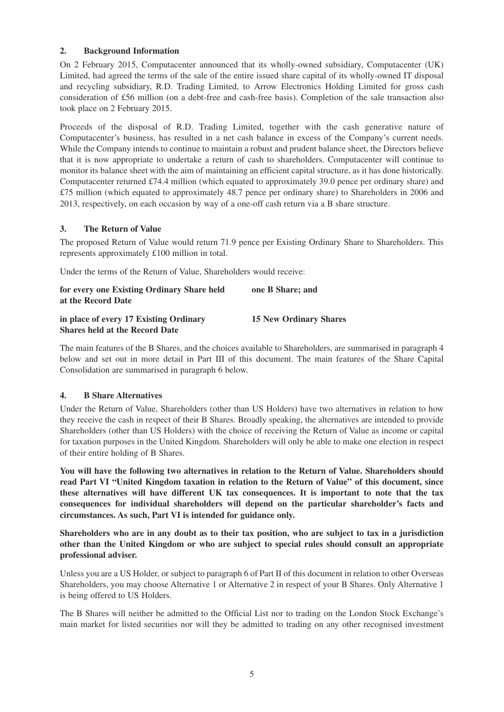## **2. Background Information**

On 2 February 2015, Computacenter announced that its wholly-owned subsidiary, Computacenter (UK) Limited, had agreed the terms of the sale of the entire issued share capital of its wholly-owned IT disposal and recycling subsidiary, R.D. Trading Limited, to Arrow Electronics Holding Limited for gross cash consideration of £56 million (on a debt-free and cash-free basis). Completion of the sale transaction also took place on 2 February 2015.

Proceeds of the disposal of R.D. Trading Limited, together with the cash generative nature of Computacenter's business, has resulted in a net cash balance in excess of the Company's current needs. While the Company intends to continue to maintain a robust and prudent balance sheet, the Directors believe that it is now appropriate to undertake a return of cash to shareholders. Computacenter will continue to monitor its balance sheet with the aim of maintaining an efficient capital structure, as it has done historically. Computacenter returned £74.4 million (which equated to approximately 39.0 pence per ordinary share) and £75 million (which equated to approximately 48.7 pence per ordinary share) to Shareholders in 2006 and 2013, respectively, on each occasion by way of a one-off cash return via a B share structure.

# **3. The Return of Value**

The proposed Return of Value would return 71.9 pence per Existing Ordinary Share to Shareholders. This represents approximately £100 million in total.

Under the terms of the Return of Value, Shareholders would receive:

| for every one Existing Ordinary Share held | one B Share: and              |
|--------------------------------------------|-------------------------------|
| at the Record Date                         |                               |
| in place of every 17 Existing Ordinary     | <b>15 New Ordinary Shares</b> |
| <b>Shares held at the Record Date</b>      |                               |

The main features of the B Shares, and the choices available to Shareholders, are summarised in paragraph 4 below and set out in more detail in Part III of this document. The main features of the Share Capital Consolidation are summarised in paragraph 6 below.

## **4. B Share Alternatives**

Under the Return of Value, Shareholders (other than US Holders) have two alternatives in relation to how they receive the cash in respect of their B Shares. Broadly speaking, the alternatives are intended to provide Shareholders (other than US Holders) with the choice of receiving the Return of Value as income or capital for taxation purposes in the United Kingdom. Shareholders will only be able to make one election in respect of their entire holding of B Shares.

**You will have the following two alternatives in relation to the Return of Value. Shareholders should read Part VI "United Kingdom taxation in relation to the Return of Value" of this document, since these alternatives will have different UK tax consequences. It is important to note that the tax consequences for individual shareholders will depend on the particular shareholder's facts and circumstances. As such, Part VI is intended for guidance only.**

**Shareholders who are in any doubt as to their tax position, who are subject to tax in a jurisdiction other than the United Kingdom or who are subject to special rules should consult an appropriate professional adviser.**

Unless you are a US Holder, or subject to paragraph 6 of Part II of this document in relation to other Overseas Shareholders, you may choose Alternative 1 or Alternative 2 in respect of your B Shares. Only Alternative 1 is being offered to US Holders.

The B Shares will neither be admitted to the Official List nor to trading on the London Stock Exchange's main market for listed securities nor will they be admitted to trading on any other recognised investment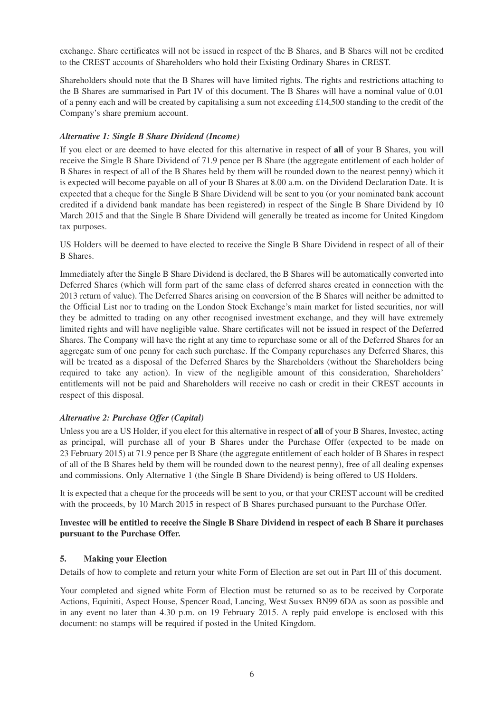exchange. Share certificates will not be issued in respect of the B Shares, and B Shares will not be credited to the CREST accounts of Shareholders who hold their Existing Ordinary Shares in CREST.

Shareholders should note that the B Shares will have limited rights. The rights and restrictions attaching to the B Shares are summarised in Part IV of this document. The B Shares will have a nominal value of 0.01 of a penny each and will be created by capitalising a sum not exceeding  $\text{\pounds}14,500$  standing to the credit of the Company's share premium account.

## *Alternative 1: Single B Share Dividend (Income)*

If you elect or are deemed to have elected for this alternative in respect of **all** of your B Shares, you will receive the Single B Share Dividend of 71.9 pence per B Share (the aggregate entitlement of each holder of B Shares in respect of all of the B Shares held by them will be rounded down to the nearest penny) which it is expected will become payable on all of your B Shares at 8.00 a.m. on the Dividend Declaration Date. It is expected that a cheque for the Single B Share Dividend will be sent to you (or your nominated bank account credited if a dividend bank mandate has been registered) in respect of the Single B Share Dividend by 10 March 2015 and that the Single B Share Dividend will generally be treated as income for United Kingdom tax purposes.

US Holders will be deemed to have elected to receive the Single B Share Dividend in respect of all of their B Shares.

Immediately after the Single B Share Dividend is declared, the B Shares will be automatically converted into Deferred Shares (which will form part of the same class of deferred shares created in connection with the 2013 return of value). The Deferred Shares arising on conversion of the B Shares will neither be admitted to the Official List nor to trading on the London Stock Exchange's main market for listed securities, nor will they be admitted to trading on any other recognised investment exchange, and they will have extremely limited rights and will have negligible value. Share certificates will not be issued in respect of the Deferred Shares. The Company will have the right at any time to repurchase some or all of the Deferred Shares for an aggregate sum of one penny for each such purchase. If the Company repurchases any Deferred Shares, this will be treated as a disposal of the Deferred Shares by the Shareholders (without the Shareholders being required to take any action). In view of the negligible amount of this consideration, Shareholders' entitlements will not be paid and Shareholders will receive no cash or credit in their CREST accounts in respect of this disposal.

# *Alternative 2: Purchase Offer (Capital)*

Unless you are a US Holder, if you elect for this alternative in respect of **all** of your B Shares, Investec, acting as principal, will purchase all of your B Shares under the Purchase Offer (expected to be made on 23 February 2015) at 71.9 pence per B Share (the aggregate entitlement of each holder of B Shares in respect of all of the B Shares held by them will be rounded down to the nearest penny), free of all dealing expenses and commissions. Only Alternative 1 (the Single B Share Dividend) is being offered to US Holders.

It is expected that a cheque for the proceeds will be sent to you, or that your CREST account will be credited with the proceeds, by 10 March 2015 in respect of B Shares purchased pursuant to the Purchase Offer.

## **Investec will be entitled to receive the Single B Share Dividend in respect of each B Share it purchases pursuant to the Purchase Offer.**

## **5. Making your Election**

Details of how to complete and return your white Form of Election are set out in Part III of this document.

Your completed and signed white Form of Election must be returned so as to be received by Corporate Actions, Equiniti, Aspect House, Spencer Road, Lancing, West Sussex BN99 6DA as soon as possible and in any event no later than 4.30 p.m. on 19 February 2015. A reply paid envelope is enclosed with this document: no stamps will be required if posted in the United Kingdom.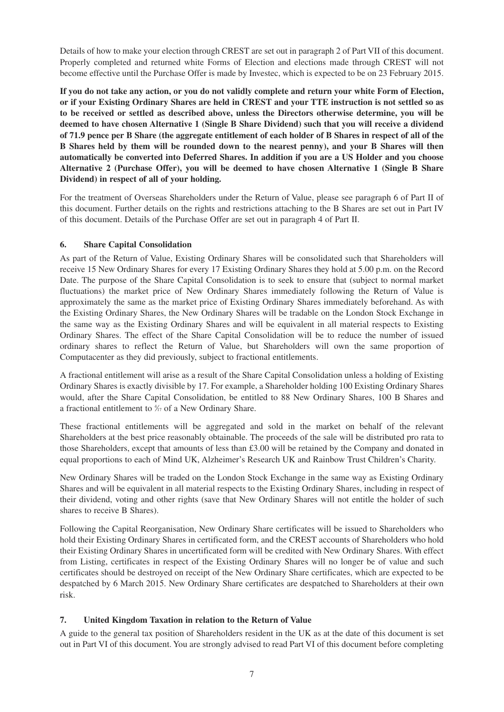Details of how to make your election through CREST are set out in paragraph 2 of Part VII of this document. Properly completed and returned white Forms of Election and elections made through CREST will not become effective until the Purchase Offer is made by Investec, which is expected to be on 23 February 2015.

**If you do not take any action, or you do not validly complete and return your white Form of Election, or if your Existing Ordinary Shares are held in CREST and your TTE instruction is not settled so as to be received or settled as described above, unless the Directors otherwise determine, you will be deemed to have chosen Alternative 1 (Single B Share Dividend) such that you will receive a dividend of 71.9 pence per B Share (the aggregate entitlement of each holder of B Shares in respect of all of the B Shares held by them will be rounded down to the nearest penny), and your B Shares will then automatically be converted into Deferred Shares. In addition if you are a US Holder and you choose Alternative 2 (Purchase Offer), you will be deemed to have chosen Alternative 1 (Single B Share Dividend) in respect of all of your holding.**

For the treatment of Overseas Shareholders under the Return of Value, please see paragraph 6 of Part II of this document. Further details on the rights and restrictions attaching to the B Shares are set out in Part IV of this document. Details of the Purchase Offer are set out in paragraph 4 of Part II.

# **6. Share Capital Consolidation**

As part of the Return of Value, Existing Ordinary Shares will be consolidated such that Shareholders will receive 15 New Ordinary Shares for every 17 Existing Ordinary Shares they hold at 5.00 p.m. on the Record Date. The purpose of the Share Capital Consolidation is to seek to ensure that (subject to normal market fluctuations) the market price of New Ordinary Shares immediately following the Return of Value is approximately the same as the market price of Existing Ordinary Shares immediately beforehand. As with the Existing Ordinary Shares, the New Ordinary Shares will be tradable on the London Stock Exchange in the same way as the Existing Ordinary Shares and will be equivalent in all material respects to Existing Ordinary Shares. The effect of the Share Capital Consolidation will be to reduce the number of issued ordinary shares to reflect the Return of Value, but Shareholders will own the same proportion of Computacenter as they did previously, subject to fractional entitlements.

A fractional entitlement will arise as a result of the Share Capital Consolidation unless a holding of Existing Ordinary Shares is exactly divisible by 17. For example, a Shareholder holding 100 Existing Ordinary Shares would, after the Share Capital Consolidation, be entitled to 88 New Ordinary Shares, 100 B Shares and a fractional entitlement to  $\frac{4}{17}$  of a New Ordinary Share.

These fractional entitlements will be aggregated and sold in the market on behalf of the relevant Shareholders at the best price reasonably obtainable. The proceeds of the sale will be distributed pro rata to those Shareholders, except that amounts of less than £3.00 will be retained by the Company and donated in equal proportions to each of Mind UK, Alzheimer's Research UK and Rainbow Trust Children's Charity.

New Ordinary Shares will be traded on the London Stock Exchange in the same way as Existing Ordinary Shares and will be equivalent in all material respects to the Existing Ordinary Shares, including in respect of their dividend, voting and other rights (save that New Ordinary Shares will not entitle the holder of such shares to receive B Shares).

Following the Capital Reorganisation, New Ordinary Share certificates will be issued to Shareholders who hold their Existing Ordinary Shares in certificated form, and the CREST accounts of Shareholders who hold their Existing Ordinary Shares in uncertificated form will be credited with New Ordinary Shares. With effect from Listing, certificates in respect of the Existing Ordinary Shares will no longer be of value and such certificates should be destroyed on receipt of the New Ordinary Share certificates, which are expected to be despatched by 6 March 2015. New Ordinary Share certificates are despatched to Shareholders at their own risk.

# **7. United Kingdom Taxation in relation to the Return of Value**

A guide to the general tax position of Shareholders resident in the UK as at the date of this document is set out in Part VI of this document. You are strongly advised to read Part VI of this document before completing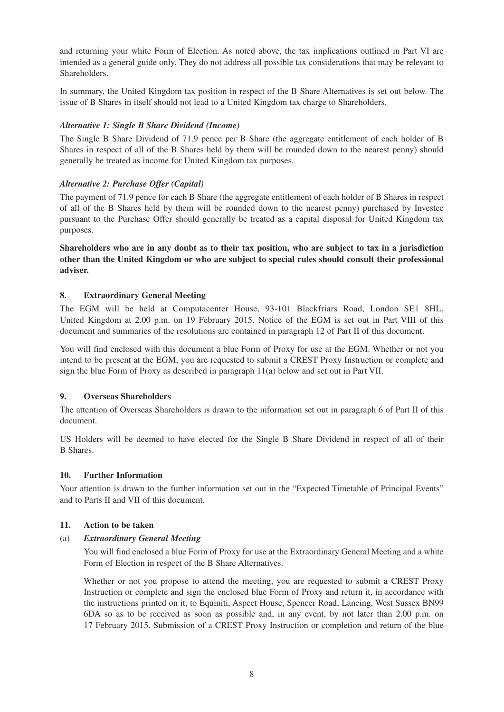and returning your white Form of Election. As noted above, the tax implications outlined in Part VI are intended as a general guide only. They do not address all possible tax considerations that may be relevant to Shareholders.

In summary, the United Kingdom tax position in respect of the B Share Alternatives is set out below. The issue of B Shares in itself should not lead to a United Kingdom tax charge to Shareholders.

## *Alternative 1: Single B Share Dividend (Income)*

The Single B Share Dividend of 71.9 pence per B Share (the aggregate entitlement of each holder of B Shares in respect of all of the B Shares held by them will be rounded down to the nearest penny) should generally be treated as income for United Kingdom tax purposes.

# *Alternative 2: Purchase Offer (Capital)*

The payment of 71.9 pence for each B Share (the aggregate entitlement of each holder of B Shares in respect of all of the B Shares held by them will be rounded down to the nearest penny) purchased by Investec pursuant to the Purchase Offer should generally be treated as a capital disposal for United Kingdom tax purposes.

**Shareholders who are in any doubt as to their tax position, who are subject to tax in a jurisdiction other than the United Kingdom or who are subject to special rules should consult their professional adviser.**

# **8. Extraordinary General Meeting**

The EGM will be held at Computacenter House, 93-101 Blackfriars Road, London SE1 8HL, United Kingdom at 2.00 p.m. on 19 February 2015. Notice of the EGM is set out in Part VIII of this document and summaries of the resolutions are contained in paragraph 12 of Part II of this document.

You will find enclosed with this document a blue Form of Proxy for use at the EGM. Whether or not you intend to be present at the EGM, you are requested to submit a CREST Proxy Instruction or complete and sign the blue Form of Proxy as described in paragraph 11(a) below and set out in Part VII.

## **9. Overseas Shareholders**

The attention of Overseas Shareholders is drawn to the information set out in paragraph 6 of Part II of this document.

US Holders will be deemed to have elected for the Single B Share Dividend in respect of all of their B Shares.

## **10. Further Information**

Your attention is drawn to the further information set out in the "Expected Timetable of Principal Events" and to Parts II and VII of this document.

## **11. Action to be taken**

## (a) *Extraordinary General Meeting*

You will find enclosed a blue Form of Proxy for use at the Extraordinary General Meeting and a white Form of Election in respect of the B Share Alternatives.

Whether or not you propose to attend the meeting, you are requested to submit a CREST Proxy Instruction or complete and sign the enclosed blue Form of Proxy and return it, in accordance with the instructions printed on it, to Equiniti, Aspect House, Spencer Road, Lancing, West Sussex BN99 6DA so as to be received as soon as possible and, in any event, by not later than 2.00 p.m. on 17 February 2015. Submission of a CREST Proxy Instruction or completion and return of the blue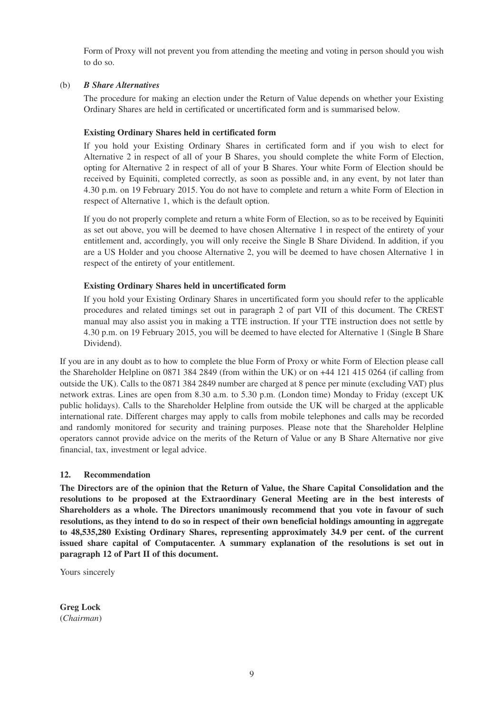Form of Proxy will not prevent you from attending the meeting and voting in person should you wish to do so.

#### (b) *B Share Alternatives*

The procedure for making an election under the Return of Value depends on whether your Existing Ordinary Shares are held in certificated or uncertificated form and is summarised below.

## **Existing Ordinary Shares held in certificated form**

If you hold your Existing Ordinary Shares in certificated form and if you wish to elect for Alternative 2 in respect of all of your B Shares, you should complete the white Form of Election, opting for Alternative 2 in respect of all of your B Shares. Your white Form of Election should be received by Equiniti, completed correctly, as soon as possible and, in any event, by not later than 4.30 p.m. on 19 February 2015. You do not have to complete and return a white Form of Election in respect of Alternative 1, which is the default option.

If you do not properly complete and return a white Form of Election, so as to be received by Equiniti as set out above, you will be deemed to have chosen Alternative 1 in respect of the entirety of your entitlement and, accordingly, you will only receive the Single B Share Dividend. In addition, if you are a US Holder and you choose Alternative 2, you will be deemed to have chosen Alternative 1 in respect of the entirety of your entitlement.

## **Existing Ordinary Shares held in uncertificated form**

If you hold your Existing Ordinary Shares in uncertificated form you should refer to the applicable procedures and related timings set out in paragraph 2 of part VII of this document. The CREST manual may also assist you in making a TTE instruction. If your TTE instruction does not settle by 4.30 p.m. on 19 February 2015, you will be deemed to have elected for Alternative 1 (Single B Share Dividend).

If you are in any doubt as to how to complete the blue Form of Proxy or white Form of Election please call the Shareholder Helpline on 0871 384 2849 (from within the UK) or on +44 121 415 0264 (if calling from outside the UK). Calls to the 0871 384 2849 number are charged at 8 pence per minute (excluding VAT) plus network extras. Lines are open from 8.30 a.m. to 5.30 p.m. (London time) Monday to Friday (except UK public holidays). Calls to the Shareholder Helpline from outside the UK will be charged at the applicable international rate. Different charges may apply to calls from mobile telephones and calls may be recorded and randomly monitored for security and training purposes. Please note that the Shareholder Helpline operators cannot provide advice on the merits of the Return of Value or any B Share Alternative nor give financial, tax, investment or legal advice.

## **12. Recommendation**

**The Directors are of the opinion that the Return of Value, the Share Capital Consolidation and the resolutions to be proposed at the Extraordinary General Meeting are in the best interests of Shareholders as a whole. The Directors unanimously recommend that you vote in favour of such resolutions, as they intend to do so in respect of their own beneficial holdings amounting in aggregate to 48,535,280 Existing Ordinary Shares, representing approximately 34.9 per cent. of the current issued share capital of Computacenter. A summary explanation of the resolutions is set out in paragraph 12 of Part II of this document.**

Yours sincerely

**Greg Lock**  (*Chairman*)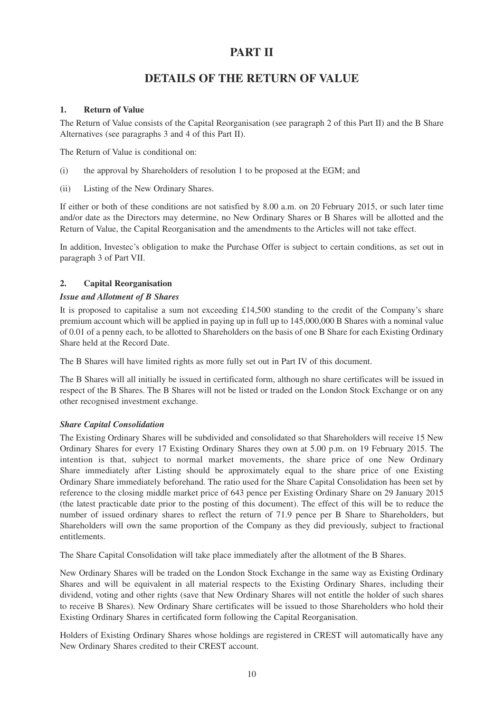# **PART II**

# **DETAILS OF THE RETURN OF VALUE**

## **1. Return of Value**

The Return of Value consists of the Capital Reorganisation (see paragraph 2 of this Part II) and the B Share Alternatives (see paragraphs 3 and 4 of this Part II).

The Return of Value is conditional on:

- (i) the approval by Shareholders of resolution 1 to be proposed at the EGM; and
- (ii) Listing of the New Ordinary Shares.

If either or both of these conditions are not satisfied by 8.00 a.m. on 20 February 2015, or such later time and/or date as the Directors may determine, no New Ordinary Shares or B Shares will be allotted and the Return of Value, the Capital Reorganisation and the amendments to the Articles will not take effect.

In addition, Investec's obligation to make the Purchase Offer is subject to certain conditions, as set out in paragraph 3 of Part VII.

# **2. Capital Reorganisation**

## *Issue and Allotment of B Shares*

It is proposed to capitalise a sum not exceeding £14,500 standing to the credit of the Company's share premium account which will be applied in paying up in full up to 145,000,000 B Shares with a nominal value of 0.01 of a penny each, to be allotted to Shareholders on the basis of one B Share for each Existing Ordinary Share held at the Record Date.

The B Shares will have limited rights as more fully set out in Part IV of this document.

The B Shares will all initially be issued in certificated form, although no share certificates will be issued in respect of the B Shares. The B Shares will not be listed or traded on the London Stock Exchange or on any other recognised investment exchange.

# *Share Capital Consolidation*

The Existing Ordinary Shares will be subdivided and consolidated so that Shareholders will receive 15 New Ordinary Shares for every 17 Existing Ordinary Shares they own at 5.00 p.m. on 19 February 2015. The intention is that, subject to normal market movements, the share price of one New Ordinary Share immediately after Listing should be approximately equal to the share price of one Existing Ordinary Share immediately beforehand. The ratio used for the Share Capital Consolidation has been set by reference to the closing middle market price of 643 pence per Existing Ordinary Share on 29 January 2015 (the latest practicable date prior to the posting of this document). The effect of this will be to reduce the number of issued ordinary shares to reflect the return of 71.9 pence per B Share to Shareholders, but Shareholders will own the same proportion of the Company as they did previously, subject to fractional entitlements.

The Share Capital Consolidation will take place immediately after the allotment of the B Shares.

New Ordinary Shares will be traded on the London Stock Exchange in the same way as Existing Ordinary Shares and will be equivalent in all material respects to the Existing Ordinary Shares, including their dividend, voting and other rights (save that New Ordinary Shares will not entitle the holder of such shares to receive B Shares). New Ordinary Share certificates will be issued to those Shareholders who hold their Existing Ordinary Shares in certificated form following the Capital Reorganisation.

Holders of Existing Ordinary Shares whose holdings are registered in CREST will automatically have any New Ordinary Shares credited to their CREST account.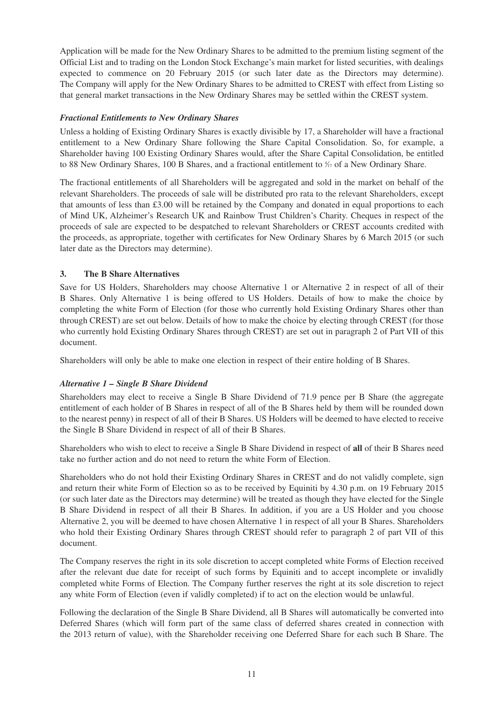Application will be made for the New Ordinary Shares to be admitted to the premium listing segment of the Official List and to trading on the London Stock Exchange's main market for listed securities, with dealings expected to commence on 20 February 2015 (or such later date as the Directors may determine). The Company will apply for the New Ordinary Shares to be admitted to CREST with effect from Listing so that general market transactions in the New Ordinary Shares may be settled within the CREST system.

## *Fractional Entitlements to New Ordinary Shares*

Unless a holding of Existing Ordinary Shares is exactly divisible by 17, a Shareholder will have a fractional entitlement to a New Ordinary Share following the Share Capital Consolidation. So, for example, a Shareholder having 100 Existing Ordinary Shares would, after the Share Capital Consolidation, be entitled to 88 New Ordinary Shares, 100 B Shares, and a fractional entitlement to  $\frac{1}{17}$  of a New Ordinary Share.

The fractional entitlements of all Shareholders will be aggregated and sold in the market on behalf of the relevant Shareholders. The proceeds of sale will be distributed pro rata to the relevant Shareholders, except that amounts of less than £3.00 will be retained by the Company and donated in equal proportions to each of Mind UK, Alzheimer's Research UK and Rainbow Trust Children's Charity. Cheques in respect of the proceeds of sale are expected to be despatched to relevant Shareholders or CREST accounts credited with the proceeds, as appropriate, together with certificates for New Ordinary Shares by 6 March 2015 (or such later date as the Directors may determine).

## **3. The B Share Alternatives**

Save for US Holders, Shareholders may choose Alternative 1 or Alternative 2 in respect of all of their B Shares. Only Alternative 1 is being offered to US Holders. Details of how to make the choice by completing the white Form of Election (for those who currently hold Existing Ordinary Shares other than through CREST) are set out below. Details of how to make the choice by electing through CREST (for those who currently hold Existing Ordinary Shares through CREST) are set out in paragraph 2 of Part VII of this document.

Shareholders will only be able to make one election in respect of their entire holding of B Shares.

## *Alternative 1 – Single B Share Dividend*

Shareholders may elect to receive a Single B Share Dividend of 71.9 pence per B Share (the aggregate entitlement of each holder of B Shares in respect of all of the B Shares held by them will be rounded down to the nearest penny) in respect of all of their B Shares. US Holders will be deemed to have elected to receive the Single B Share Dividend in respect of all of their B Shares.

Shareholders who wish to elect to receive a Single B Share Dividend in respect of **all** of their B Shares need take no further action and do not need to return the white Form of Election.

Shareholders who do not hold their Existing Ordinary Shares in CREST and do not validly complete, sign and return their white Form of Election so as to be received by Equiniti by 4.30 p.m. on 19 February 2015 (or such later date as the Directors may determine) will be treated as though they have elected for the Single B Share Dividend in respect of all their B Shares. In addition, if you are a US Holder and you choose Alternative 2, you will be deemed to have chosen Alternative 1 in respect of all your B Shares. Shareholders who hold their Existing Ordinary Shares through CREST should refer to paragraph 2 of part VII of this document.

The Company reserves the right in its sole discretion to accept completed white Forms of Election received after the relevant due date for receipt of such forms by Equiniti and to accept incomplete or invalidly completed white Forms of Election. The Company further reserves the right at its sole discretion to reject any white Form of Election (even if validly completed) if to act on the election would be unlawful.

Following the declaration of the Single B Share Dividend, all B Shares will automatically be converted into Deferred Shares (which will form part of the same class of deferred shares created in connection with the 2013 return of value), with the Shareholder receiving one Deferred Share for each such B Share. The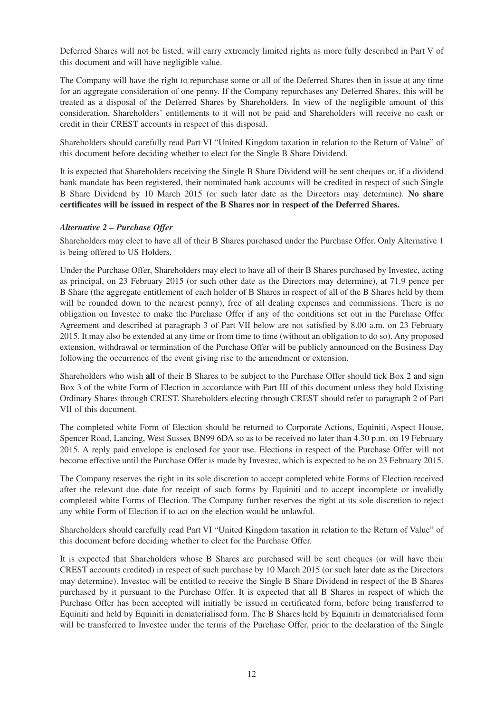Deferred Shares will not be listed, will carry extremely limited rights as more fully described in Part V of this document and will have negligible value.

The Company will have the right to repurchase some or all of the Deferred Shares then in issue at any time for an aggregate consideration of one penny. If the Company repurchases any Deferred Shares, this will be treated as a disposal of the Deferred Shares by Shareholders. In view of the negligible amount of this consideration, Shareholders' entitlements to it will not be paid and Shareholders will receive no cash or credit in their CREST accounts in respect of this disposal.

Shareholders should carefully read Part VI "United Kingdom taxation in relation to the Return of Value" of this document before deciding whether to elect for the Single B Share Dividend.

It is expected that Shareholders receiving the Single B Share Dividend will be sent cheques or, if a dividend bank mandate has been registered, their nominated bank accounts will be credited in respect of such Single B Share Dividend by 10 March 2015 (or such later date as the Directors may determine). **No share certificates will be issued in respect of the B Shares nor in respect of the Deferred Shares.**

## *Alternative 2 – Purchase Offer*

Shareholders may elect to have all of their B Shares purchased under the Purchase Offer. Only Alternative 1 is being offered to US Holders.

Under the Purchase Offer, Shareholders may elect to have all of their B Shares purchased by Investec, acting as principal, on 23 February 2015 (or such other date as the Directors may determine), at 71.9 pence per B Share (the aggregate entitlement of each holder of B Shares in respect of all of the B Shares held by them will be rounded down to the nearest penny), free of all dealing expenses and commissions. There is no obligation on Investec to make the Purchase Offer if any of the conditions set out in the Purchase Offer Agreement and described at paragraph 3 of Part VII below are not satisfied by 8.00 a.m. on 23 February 2015. It may also be extended at any time or from time to time (without an obligation to do so). Any proposed extension, withdrawal or termination of the Purchase Offer will be publicly announced on the Business Day following the occurrence of the event giving rise to the amendment or extension.

Shareholders who wish **all** of their B Shares to be subject to the Purchase Offer should tick Box 2 and sign Box 3 of the white Form of Election in accordance with Part III of this document unless they hold Existing Ordinary Shares through CREST. Shareholders electing through CREST should refer to paragraph 2 of Part VII of this document.

The completed white Form of Election should be returned to Corporate Actions, Equiniti, Aspect House, Spencer Road, Lancing, West Sussex BN99 6DA so as to be received no later than 4.30 p.m. on 19 February 2015. A reply paid envelope is enclosed for your use. Elections in respect of the Purchase Offer will not become effective until the Purchase Offer is made by Investec, which is expected to be on 23 February 2015.

The Company reserves the right in its sole discretion to accept completed white Forms of Election received after the relevant due date for receipt of such forms by Equiniti and to accept incomplete or invalidly completed white Forms of Election. The Company further reserves the right at its sole discretion to reject any white Form of Election if to act on the election would be unlawful.

Shareholders should carefully read Part VI "United Kingdom taxation in relation to the Return of Value" of this document before deciding whether to elect for the Purchase Offer.

It is expected that Shareholders whose B Shares are purchased will be sent cheques (or will have their CREST accounts credited) in respect of such purchase by 10 March 2015 (or such later date as the Directors may determine). Investec will be entitled to receive the Single B Share Dividend in respect of the B Shares purchased by it pursuant to the Purchase Offer. It is expected that all B Shares in respect of which the Purchase Offer has been accepted will initially be issued in certificated form, before being transferred to Equiniti and held by Equiniti in dematerialised form. The B Shares held by Equiniti in dematerialised form will be transferred to Investec under the terms of the Purchase Offer, prior to the declaration of the Single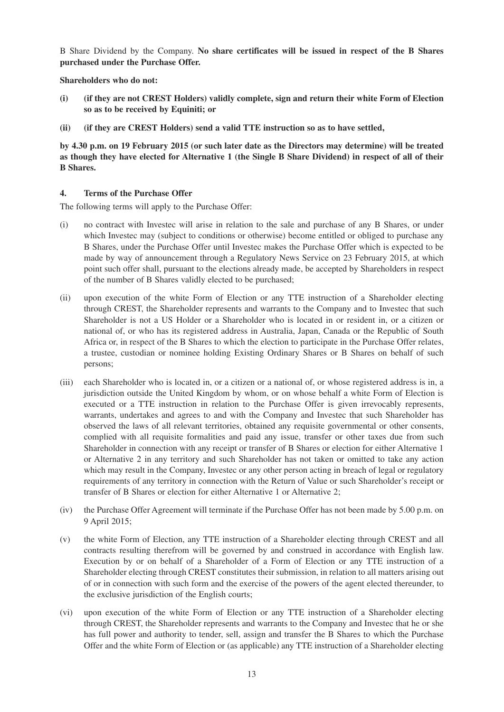B Share Dividend by the Company. **No share certificates will be issued in respect of the B Shares purchased under the Purchase Offer.**

**Shareholders who do not:**

- **(i) (if they are not CREST Holders) validly complete, sign and return their white Form of Election so as to be received by Equiniti; or**
- **(ii) (if they are CREST Holders) send a valid TTE instruction so as to have settled,**

**by 4.30 p.m. on 19 February 2015 (or such later date as the Directors may determine) will be treated as though they have elected for Alternative 1 (the Single B Share Dividend) in respect of all of their B Shares.**

#### **4. Terms of the Purchase Offer**

The following terms will apply to the Purchase Offer:

- (i) no contract with Investec will arise in relation to the sale and purchase of any B Shares, or under which Investec may (subject to conditions or otherwise) become entitled or obliged to purchase any B Shares, under the Purchase Offer until Investec makes the Purchase Offer which is expected to be made by way of announcement through a Regulatory News Service on 23 February 2015, at which point such offer shall, pursuant to the elections already made, be accepted by Shareholders in respect of the number of B Shares validly elected to be purchased;
- (ii) upon execution of the white Form of Election or any TTE instruction of a Shareholder electing through CREST, the Shareholder represents and warrants to the Company and to Investec that such Shareholder is not a US Holder or a Shareholder who is located in or resident in, or a citizen or national of, or who has its registered address in Australia, Japan, Canada or the Republic of South Africa or, in respect of the B Shares to which the election to participate in the Purchase Offer relates, a trustee, custodian or nominee holding Existing Ordinary Shares or B Shares on behalf of such persons;
- (iii) each Shareholder who is located in, or a citizen or a national of, or whose registered address is in, a jurisdiction outside the United Kingdom by whom, or on whose behalf a white Form of Election is executed or a TTE instruction in relation to the Purchase Offer is given irrevocably represents, warrants, undertakes and agrees to and with the Company and Investec that such Shareholder has observed the laws of all relevant territories, obtained any requisite governmental or other consents, complied with all requisite formalities and paid any issue, transfer or other taxes due from such Shareholder in connection with any receipt or transfer of B Shares or election for either Alternative 1 or Alternative 2 in any territory and such Shareholder has not taken or omitted to take any action which may result in the Company, Investec or any other person acting in breach of legal or regulatory requirements of any territory in connection with the Return of Value or such Shareholder's receipt or transfer of B Shares or election for either Alternative 1 or Alternative 2;
- (iv) the Purchase Offer Agreement will terminate if the Purchase Offer has not been made by 5.00 p.m. on 9 April 2015;
- (v) the white Form of Election, any TTE instruction of a Shareholder electing through CREST and all contracts resulting therefrom will be governed by and construed in accordance with English law. Execution by or on behalf of a Shareholder of a Form of Election or any TTE instruction of a Shareholder electing through CREST constitutes their submission, in relation to all matters arising out of or in connection with such form and the exercise of the powers of the agent elected thereunder, to the exclusive jurisdiction of the English courts;
- (vi) upon execution of the white Form of Election or any TTE instruction of a Shareholder electing through CREST, the Shareholder represents and warrants to the Company and Investec that he or she has full power and authority to tender, sell, assign and transfer the B Shares to which the Purchase Offer and the white Form of Election or (as applicable) any TTE instruction of a Shareholder electing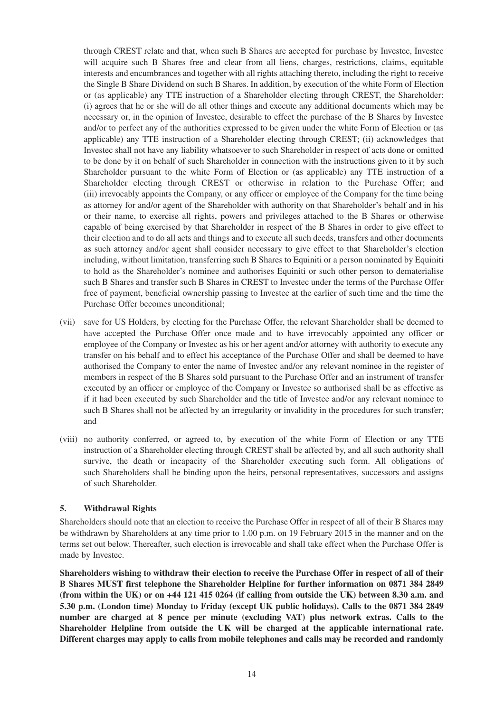through CREST relate and that, when such B Shares are accepted for purchase by Investec, Investec will acquire such B Shares free and clear from all liens, charges, restrictions, claims, equitable interests and encumbrances and together with all rights attaching thereto, including the right to receive the Single B Share Dividend on such B Shares. In addition, by execution of the white Form of Election or (as applicable) any TTE instruction of a Shareholder electing through CREST, the Shareholder: (i) agrees that he or she will do all other things and execute any additional documents which may be necessary or, in the opinion of Investec, desirable to effect the purchase of the B Shares by Investec and/or to perfect any of the authorities expressed to be given under the white Form of Election or (as applicable) any TTE instruction of a Shareholder electing through CREST; (ii) acknowledges that Investec shall not have any liability whatsoever to such Shareholder in respect of acts done or omitted to be done by it on behalf of such Shareholder in connection with the instructions given to it by such Shareholder pursuant to the white Form of Election or (as applicable) any TTE instruction of a Shareholder electing through CREST or otherwise in relation to the Purchase Offer; and (iii) irrevocably appoints the Company, or any officer or employee of the Company for the time being as attorney for and/or agent of the Shareholder with authority on that Shareholder's behalf and in his or their name, to exercise all rights, powers and privileges attached to the B Shares or otherwise capable of being exercised by that Shareholder in respect of the B Shares in order to give effect to their election and to do all acts and things and to execute all such deeds, transfers and other documents as such attorney and/or agent shall consider necessary to give effect to that Shareholder's election including, without limitation, transferring such B Shares to Equiniti or a person nominated by Equiniti to hold as the Shareholder's nominee and authorises Equiniti or such other person to dematerialise such B Shares and transfer such B Shares in CREST to Investec under the terms of the Purchase Offer free of payment, beneficial ownership passing to Investec at the earlier of such time and the time the Purchase Offer becomes unconditional;

- (vii) save for US Holders, by electing for the Purchase Offer, the relevant Shareholder shall be deemed to have accepted the Purchase Offer once made and to have irrevocably appointed any officer or employee of the Company or Investec as his or her agent and/or attorney with authority to execute any transfer on his behalf and to effect his acceptance of the Purchase Offer and shall be deemed to have authorised the Company to enter the name of Investec and/or any relevant nominee in the register of members in respect of the B Shares sold pursuant to the Purchase Offer and an instrument of transfer executed by an officer or employee of the Company or Investec so authorised shall be as effective as if it had been executed by such Shareholder and the title of Investec and/or any relevant nominee to such B Shares shall not be affected by an irregularity or invalidity in the procedures for such transfer; and
- (viii) no authority conferred, or agreed to, by execution of the white Form of Election or any TTE instruction of a Shareholder electing through CREST shall be affected by, and all such authority shall survive, the death or incapacity of the Shareholder executing such form. All obligations of such Shareholders shall be binding upon the heirs, personal representatives, successors and assigns of such Shareholder.

## **5. Withdrawal Rights**

Shareholders should note that an election to receive the Purchase Offer in respect of all of their B Shares may be withdrawn by Shareholders at any time prior to 1.00 p.m. on 19 February 2015 in the manner and on the terms set out below. Thereafter, such election is irrevocable and shall take effect when the Purchase Offer is made by Investec.

**Shareholders wishing to withdraw their election to receive the Purchase Offer in respect of all of their B Shares MUST first telephone the Shareholder Helpline for further information on 0871 384 2849 (from within the UK) or on +44 121 415 0264 (if calling from outside the UK) between 8.30 a.m. and 5.30 p.m. (London time) Monday to Friday (except UK public holidays). Calls to the 0871 384 2849 number are charged at 8 pence per minute (excluding VAT) plus network extras. Calls to the Shareholder Helpline from outside the UK will be charged at the applicable international rate. Different charges may apply to calls from mobile telephones and calls may be recorded and randomly**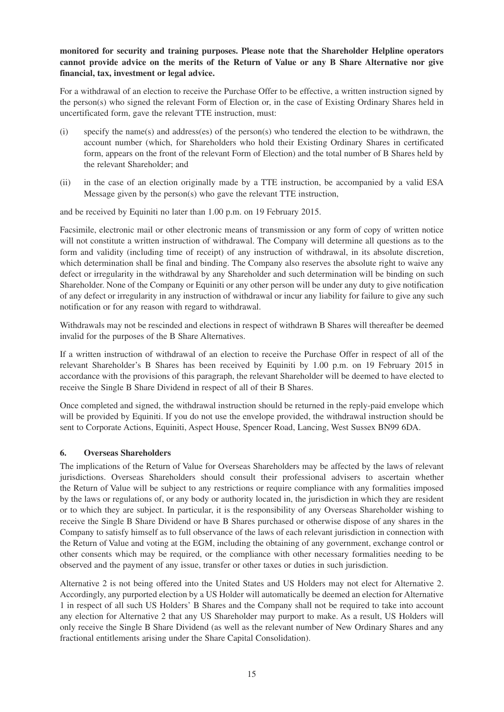# **monitored for security and training purposes. Please note that the Shareholder Helpline operators cannot provide advice on the merits of the Return of Value or any B Share Alternative nor give financial, tax, investment or legal advice.**

For a withdrawal of an election to receive the Purchase Offer to be effective, a written instruction signed by the person(s) who signed the relevant Form of Election or, in the case of Existing Ordinary Shares held in uncertificated form, gave the relevant TTE instruction, must:

- (i) specify the name(s) and address(es) of the person(s) who tendered the election to be withdrawn, the account number (which, for Shareholders who hold their Existing Ordinary Shares in certificated form, appears on the front of the relevant Form of Election) and the total number of B Shares held by the relevant Shareholder; and
- (ii) in the case of an election originally made by a TTE instruction, be accompanied by a valid ESA Message given by the person(s) who gave the relevant TTE instruction,

and be received by Equiniti no later than 1.00 p.m. on 19 February 2015.

Facsimile, electronic mail or other electronic means of transmission or any form of copy of written notice will not constitute a written instruction of withdrawal. The Company will determine all questions as to the form and validity (including time of receipt) of any instruction of withdrawal, in its absolute discretion, which determination shall be final and binding. The Company also reserves the absolute right to waive any defect or irregularity in the withdrawal by any Shareholder and such determination will be binding on such Shareholder. None of the Company or Equiniti or any other person will be under any duty to give notification of any defect or irregularity in any instruction of withdrawal or incur any liability for failure to give any such notification or for any reason with regard to withdrawal.

Withdrawals may not be rescinded and elections in respect of withdrawn B Shares will thereafter be deemed invalid for the purposes of the B Share Alternatives.

If a written instruction of withdrawal of an election to receive the Purchase Offer in respect of all of the relevant Shareholder's B Shares has been received by Equiniti by 1.00 p.m. on 19 February 2015 in accordance with the provisions of this paragraph, the relevant Shareholder will be deemed to have elected to receive the Single B Share Dividend in respect of all of their B Shares.

Once completed and signed, the withdrawal instruction should be returned in the reply-paid envelope which will be provided by Equiniti. If you do not use the envelope provided, the withdrawal instruction should be sent to Corporate Actions, Equiniti, Aspect House, Spencer Road, Lancing, West Sussex BN99 6DA.

## **6. Overseas Shareholders**

The implications of the Return of Value for Overseas Shareholders may be affected by the laws of relevant jurisdictions. Overseas Shareholders should consult their professional advisers to ascertain whether the Return of Value will be subject to any restrictions or require compliance with any formalities imposed by the laws or regulations of, or any body or authority located in, the jurisdiction in which they are resident or to which they are subject. In particular, it is the responsibility of any Overseas Shareholder wishing to receive the Single B Share Dividend or have B Shares purchased or otherwise dispose of any shares in the Company to satisfy himself as to full observance of the laws of each relevant jurisdiction in connection with the Return of Value and voting at the EGM, including the obtaining of any government, exchange control or other consents which may be required, or the compliance with other necessary formalities needing to be observed and the payment of any issue, transfer or other taxes or duties in such jurisdiction.

Alternative 2 is not being offered into the United States and US Holders may not elect for Alternative 2. Accordingly, any purported election by a US Holder will automatically be deemed an election for Alternative 1 in respect of all such US Holders' B Shares and the Company shall not be required to take into account any election for Alternative 2 that any US Shareholder may purport to make. As a result, US Holders will only receive the Single B Share Dividend (as well as the relevant number of New Ordinary Shares and any fractional entitlements arising under the Share Capital Consolidation).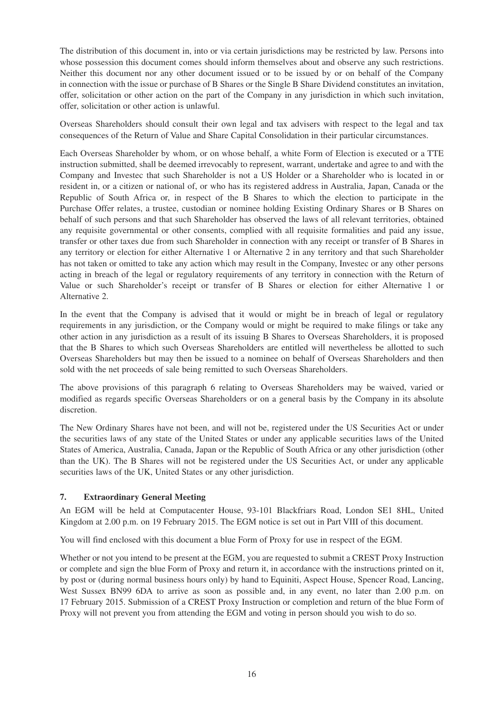The distribution of this document in, into or via certain jurisdictions may be restricted by law. Persons into whose possession this document comes should inform themselves about and observe any such restrictions. Neither this document nor any other document issued or to be issued by or on behalf of the Company in connection with the issue or purchase of B Shares or the Single B Share Dividend constitutes an invitation, offer, solicitation or other action on the part of the Company in any jurisdiction in which such invitation, offer, solicitation or other action is unlawful.

Overseas Shareholders should consult their own legal and tax advisers with respect to the legal and tax consequences of the Return of Value and Share Capital Consolidation in their particular circumstances.

Each Overseas Shareholder by whom, or on whose behalf, a white Form of Election is executed or a TTE instruction submitted, shall be deemed irrevocably to represent, warrant, undertake and agree to and with the Company and Investec that such Shareholder is not a US Holder or a Shareholder who is located in or resident in, or a citizen or national of, or who has its registered address in Australia, Japan, Canada or the Republic of South Africa or, in respect of the B Shares to which the election to participate in the Purchase Offer relates, a trustee, custodian or nominee holding Existing Ordinary Shares or B Shares on behalf of such persons and that such Shareholder has observed the laws of all relevant territories, obtained any requisite governmental or other consents, complied with all requisite formalities and paid any issue, transfer or other taxes due from such Shareholder in connection with any receipt or transfer of B Shares in any territory or election for either Alternative 1 or Alternative 2 in any territory and that such Shareholder has not taken or omitted to take any action which may result in the Company, Investec or any other persons acting in breach of the legal or regulatory requirements of any territory in connection with the Return of Value or such Shareholder's receipt or transfer of B Shares or election for either Alternative 1 or Alternative 2.

In the event that the Company is advised that it would or might be in breach of legal or regulatory requirements in any jurisdiction, or the Company would or might be required to make filings or take any other action in any jurisdiction as a result of its issuing B Shares to Overseas Shareholders, it is proposed that the B Shares to which such Overseas Shareholders are entitled will nevertheless be allotted to such Overseas Shareholders but may then be issued to a nominee on behalf of Overseas Shareholders and then sold with the net proceeds of sale being remitted to such Overseas Shareholders.

The above provisions of this paragraph 6 relating to Overseas Shareholders may be waived, varied or modified as regards specific Overseas Shareholders or on a general basis by the Company in its absolute discretion.

The New Ordinary Shares have not been, and will not be, registered under the US Securities Act or under the securities laws of any state of the United States or under any applicable securities laws of the United States of America, Australia, Canada, Japan or the Republic of South Africa or any other jurisdiction (other than the UK). The B Shares will not be registered under the US Securities Act, or under any applicable securities laws of the UK, United States or any other jurisdiction.

# **7. Extraordinary General Meeting**

An EGM will be held at Computacenter House, 93-101 Blackfriars Road, London SE1 8HL, United Kingdom at 2.00 p.m. on 19 February 2015. The EGM notice is set out in Part VIII of this document.

You will find enclosed with this document a blue Form of Proxy for use in respect of the EGM.

Whether or not you intend to be present at the EGM, you are requested to submit a CREST Proxy Instruction or complete and sign the blue Form of Proxy and return it, in accordance with the instructions printed on it, by post or (during normal business hours only) by hand to Equiniti, Aspect House, Spencer Road, Lancing, West Sussex BN99 6DA to arrive as soon as possible and, in any event, no later than 2.00 p.m. on 17 February 2015. Submission of a CREST Proxy Instruction or completion and return of the blue Form of Proxy will not prevent you from attending the EGM and voting in person should you wish to do so.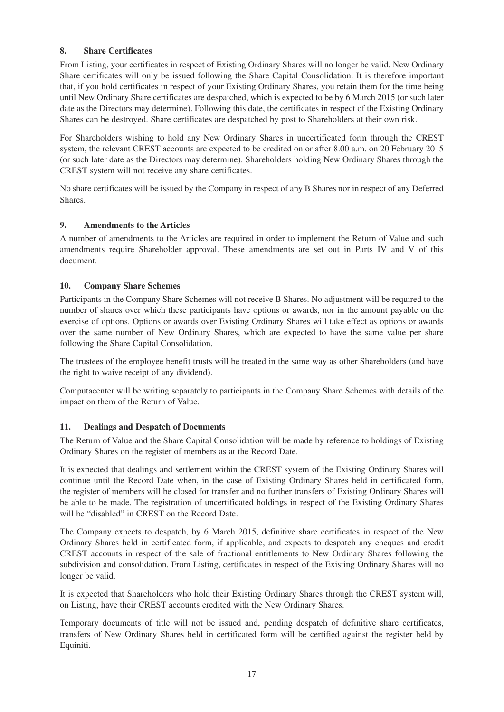# **8. Share Certificates**

From Listing, your certificates in respect of Existing Ordinary Shares will no longer be valid. New Ordinary Share certificates will only be issued following the Share Capital Consolidation. It is therefore important that, if you hold certificates in respect of your Existing Ordinary Shares, you retain them for the time being until New Ordinary Share certificates are despatched, which is expected to be by 6 March 2015 (or such later date as the Directors may determine). Following this date, the certificates in respect of the Existing Ordinary Shares can be destroyed. Share certificates are despatched by post to Shareholders at their own risk.

For Shareholders wishing to hold any New Ordinary Shares in uncertificated form through the CREST system, the relevant CREST accounts are expected to be credited on or after 8.00 a.m. on 20 February 2015 (or such later date as the Directors may determine). Shareholders holding New Ordinary Shares through the CREST system will not receive any share certificates.

No share certificates will be issued by the Company in respect of any B Shares nor in respect of any Deferred Shares.

# **9. Amendments to the Articles**

A number of amendments to the Articles are required in order to implement the Return of Value and such amendments require Shareholder approval. These amendments are set out in Parts IV and V of this document.

# **10. Company Share Schemes**

Participants in the Company Share Schemes will not receive B Shares. No adjustment will be required to the number of shares over which these participants have options or awards, nor in the amount payable on the exercise of options. Options or awards over Existing Ordinary Shares will take effect as options or awards over the same number of New Ordinary Shares, which are expected to have the same value per share following the Share Capital Consolidation.

The trustees of the employee benefit trusts will be treated in the same way as other Shareholders (and have the right to waive receipt of any dividend).

Computacenter will be writing separately to participants in the Company Share Schemes with details of the impact on them of the Return of Value.

# **11. Dealings and Despatch of Documents**

The Return of Value and the Share Capital Consolidation will be made by reference to holdings of Existing Ordinary Shares on the register of members as at the Record Date.

It is expected that dealings and settlement within the CREST system of the Existing Ordinary Shares will continue until the Record Date when, in the case of Existing Ordinary Shares held in certificated form, the register of members will be closed for transfer and no further transfers of Existing Ordinary Shares will be able to be made. The registration of uncertificated holdings in respect of the Existing Ordinary Shares will be "disabled" in CREST on the Record Date.

The Company expects to despatch, by 6 March 2015, definitive share certificates in respect of the New Ordinary Shares held in certificated form, if applicable, and expects to despatch any cheques and credit CREST accounts in respect of the sale of fractional entitlements to New Ordinary Shares following the subdivision and consolidation. From Listing, certificates in respect of the Existing Ordinary Shares will no longer be valid.

It is expected that Shareholders who hold their Existing Ordinary Shares through the CREST system will, on Listing, have their CREST accounts credited with the New Ordinary Shares.

Temporary documents of title will not be issued and, pending despatch of definitive share certificates, transfers of New Ordinary Shares held in certificated form will be certified against the register held by Equiniti.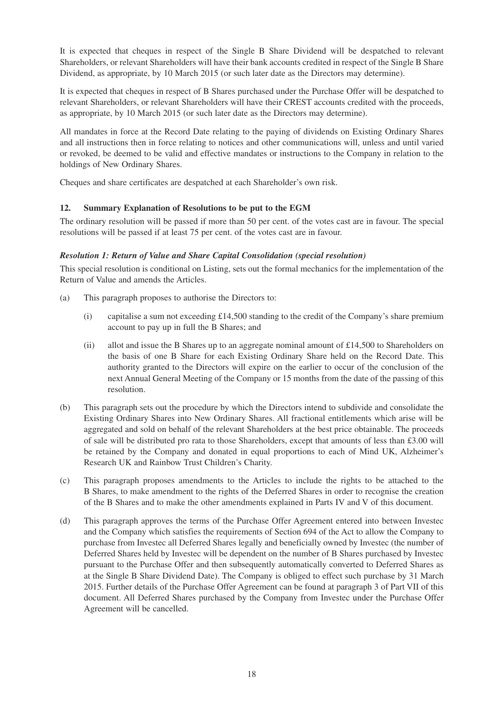It is expected that cheques in respect of the Single B Share Dividend will be despatched to relevant Shareholders, or relevant Shareholders will have their bank accounts credited in respect of the Single B Share Dividend, as appropriate, by 10 March 2015 (or such later date as the Directors may determine).

It is expected that cheques in respect of B Shares purchased under the Purchase Offer will be despatched to relevant Shareholders, or relevant Shareholders will have their CREST accounts credited with the proceeds, as appropriate, by 10 March 2015 (or such later date as the Directors may determine).

All mandates in force at the Record Date relating to the paying of dividends on Existing Ordinary Shares and all instructions then in force relating to notices and other communications will, unless and until varied or revoked, be deemed to be valid and effective mandates or instructions to the Company in relation to the holdings of New Ordinary Shares.

Cheques and share certificates are despatched at each Shareholder's own risk.

# **12. Summary Explanation of Resolutions to be put to the EGM**

The ordinary resolution will be passed if more than 50 per cent. of the votes cast are in favour. The special resolutions will be passed if at least 75 per cent. of the votes cast are in favour.

# *Resolution 1: Return of Value and Share Capital Consolidation (special resolution)*

This special resolution is conditional on Listing, sets out the formal mechanics for the implementation of the Return of Value and amends the Articles.

- (a) This paragraph proposes to authorise the Directors to:
	- (i) capitalise a sum not exceeding  $£14,500$  standing to the credit of the Company's share premium account to pay up in full the B Shares; and
	- (ii) allot and issue the B Shares up to an aggregate nominal amount of £14,500 to Shareholders on the basis of one B Share for each Existing Ordinary Share held on the Record Date. This authority granted to the Directors will expire on the earlier to occur of the conclusion of the next Annual General Meeting of the Company or 15 months from the date of the passing of this resolution.
- (b) This paragraph sets out the procedure by which the Directors intend to subdivide and consolidate the Existing Ordinary Shares into New Ordinary Shares. All fractional entitlements which arise will be aggregated and sold on behalf of the relevant Shareholders at the best price obtainable. The proceeds of sale will be distributed pro rata to those Shareholders, except that amounts of less than £3.00 will be retained by the Company and donated in equal proportions to each of Mind UK, Alzheimer's Research UK and Rainbow Trust Children's Charity.
- (c) This paragraph proposes amendments to the Articles to include the rights to be attached to the B Shares, to make amendment to the rights of the Deferred Shares in order to recognise the creation of the B Shares and to make the other amendments explained in Parts IV and V of this document.
- (d) This paragraph approves the terms of the Purchase Offer Agreement entered into between Investec and the Company which satisfies the requirements of Section 694 of the Act to allow the Company to purchase from Investec all Deferred Shares legally and beneficially owned by Investec (the number of Deferred Shares held by Investec will be dependent on the number of B Shares purchased by Investec pursuant to the Purchase Offer and then subsequently automatically converted to Deferred Shares as at the Single B Share Dividend Date). The Company is obliged to effect such purchase by 31 March 2015. Further details of the Purchase Offer Agreement can be found at paragraph 3 of Part VII of this document. All Deferred Shares purchased by the Company from Investec under the Purchase Offer Agreement will be cancelled.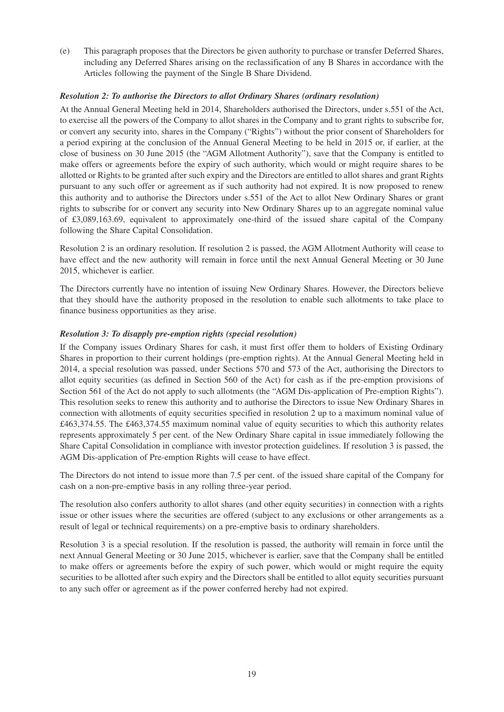(e) This paragraph proposes that the Directors be given authority to purchase or transfer Deferred Shares, including any Deferred Shares arising on the reclassification of any B Shares in accordance with the Articles following the payment of the Single B Share Dividend.

## *Resolution 2: To authorise the Directors to allot Ordinary Shares (ordinary resolution)*

At the Annual General Meeting held in 2014, Shareholders authorised the Directors, under s.551 of the Act, to exercise all the powers of the Company to allot shares in the Company and to grant rights to subscribe for, or convert any security into, shares in the Company ("Rights") without the prior consent of Shareholders for a period expiring at the conclusion of the Annual General Meeting to be held in 2015 or, if earlier, at the close of business on 30 June 2015 (the "AGM Allotment Authority"), save that the Company is entitled to make offers or agreements before the expiry of such authority, which would or might require shares to be allotted or Rights to be granted after such expiry and the Directors are entitled to allot shares and grant Rights pursuant to any such offer or agreement as if such authority had not expired. It is now proposed to renew this authority and to authorise the Directors under s.551 of the Act to allot New Ordinary Shares or grant rights to subscribe for or convert any security into New Ordinary Shares up to an aggregate nominal value of £3,089,163.69, equivalent to approximately one-third of the issued share capital of the Company following the Share Capital Consolidation.

Resolution 2 is an ordinary resolution. If resolution 2 is passed, the AGM Allotment Authority will cease to have effect and the new authority will remain in force until the next Annual General Meeting or 30 June 2015, whichever is earlier.

The Directors currently have no intention of issuing New Ordinary Shares. However, the Directors believe that they should have the authority proposed in the resolution to enable such allotments to take place to finance business opportunities as they arise.

# *Resolution 3: To disapply pre-emption rights (special resolution)*

If the Company issues Ordinary Shares for cash, it must first offer them to holders of Existing Ordinary Shares in proportion to their current holdings (pre-emption rights). At the Annual General Meeting held in 2014, a special resolution was passed, under Sections 570 and 573 of the Act, authorising the Directors to allot equity securities (as defined in Section 560 of the Act) for cash as if the pre-emption provisions of Section 561 of the Act do not apply to such allotments (the "AGM Dis-application of Pre-emption Rights"). This resolution seeks to renew this authority and to authorise the Directors to issue New Ordinary Shares in connection with allotments of equity securities specified in resolution 2 up to a maximum nominal value of £463,374.55. The £463,374.55 maximum nominal value of equity securities to which this authority relates represents approximately 5 per cent. of the New Ordinary Share capital in issue immediately following the Share Capital Consolidation in compliance with investor protection guidelines. If resolution 3 is passed, the AGM Dis-application of Pre-emption Rights will cease to have effect.

The Directors do not intend to issue more than 7.5 per cent. of the issued share capital of the Company for cash on a non-pre-emptive basis in any rolling three-year period.

The resolution also confers authority to allot shares (and other equity securities) in connection with a rights issue or other issues where the securities are offered (subject to any exclusions or other arrangements as a result of legal or technical requirements) on a pre-emptive basis to ordinary shareholders.

Resolution 3 is a special resolution. If the resolution is passed, the authority will remain in force until the next Annual General Meeting or 30 June 2015, whichever is earlier, save that the Company shall be entitled to make offers or agreements before the expiry of such power, which would or might require the equity securities to be allotted after such expiry and the Directors shall be entitled to allot equity securities pursuant to any such offer or agreement as if the power conferred hereby had not expired.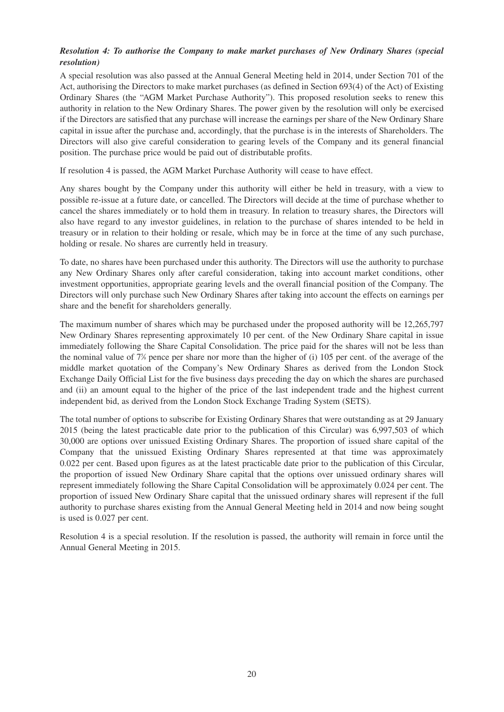# *Resolution 4: To authorise the Company to make market purchases of New Ordinary Shares (special resolution)*

A special resolution was also passed at the Annual General Meeting held in 2014, under Section 701 of the Act, authorising the Directors to make market purchases (as defined in Section 693(4) of the Act) of Existing Ordinary Shares (the "AGM Market Purchase Authority"). This proposed resolution seeks to renew this authority in relation to the New Ordinary Shares. The power given by the resolution will only be exercised if the Directors are satisfied that any purchase will increase the earnings per share of the New Ordinary Share capital in issue after the purchase and, accordingly, that the purchase is in the interests of Shareholders. The Directors will also give careful consideration to gearing levels of the Company and its general financial position. The purchase price would be paid out of distributable profits.

If resolution 4 is passed, the AGM Market Purchase Authority will cease to have effect.

Any shares bought by the Company under this authority will either be held in treasury, with a view to possible re-issue at a future date, or cancelled. The Directors will decide at the time of purchase whether to cancel the shares immediately or to hold them in treasury. In relation to treasury shares, the Directors will also have regard to any investor guidelines, in relation to the purchase of shares intended to be held in treasury or in relation to their holding or resale, which may be in force at the time of any such purchase, holding or resale. No shares are currently held in treasury.

To date, no shares have been purchased under this authority. The Directors will use the authority to purchase any New Ordinary Shares only after careful consideration, taking into account market conditions, other investment opportunities, appropriate gearing levels and the overall financial position of the Company. The Directors will only purchase such New Ordinary Shares after taking into account the effects on earnings per share and the benefit for shareholders generally.

The maximum number of shares which may be purchased under the proposed authority will be 12,265,797 New Ordinary Shares representing approximately 10 per cent. of the New Ordinary Share capital in issue immediately following the Share Capital Consolidation. The price paid for the shares will not be less than the nominal value of 7% pence per share nor more than the higher of (i) 105 per cent. of the average of the middle market quotation of the Company's New Ordinary Shares as derived from the London Stock Exchange Daily Official List for the five business days preceding the day on which the shares are purchased and (ii) an amount equal to the higher of the price of the last independent trade and the highest current independent bid, as derived from the London Stock Exchange Trading System (SETS).

The total number of options to subscribe for Existing Ordinary Shares that were outstanding as at 29 January 2015 (being the latest practicable date prior to the publication of this Circular) was 6,997,503 of which 30,000 are options over unissued Existing Ordinary Shares. The proportion of issued share capital of the Company that the unissued Existing Ordinary Shares represented at that time was approximately 0.022 per cent. Based upon figures as at the latest practicable date prior to the publication of this Circular, the proportion of issued New Ordinary Share capital that the options over unissued ordinary shares will represent immediately following the Share Capital Consolidation will be approximately 0.024 per cent. The proportion of issued New Ordinary Share capital that the unissued ordinary shares will represent if the full authority to purchase shares existing from the Annual General Meeting held in 2014 and now being sought is used is 0.027 per cent.

Resolution 4 is a special resolution. If the resolution is passed, the authority will remain in force until the Annual General Meeting in 2015.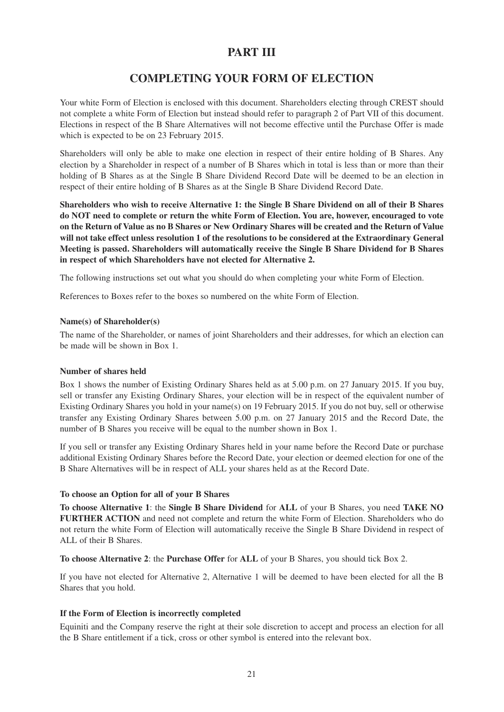# **PART III**

# **COMPLETING YOUR FORM OF ELECTION**

Your white Form of Election is enclosed with this document. Shareholders electing through CREST should not complete a white Form of Election but instead should refer to paragraph 2 of Part VII of this document. Elections in respect of the B Share Alternatives will not become effective until the Purchase Offer is made which is expected to be on 23 February 2015.

Shareholders will only be able to make one election in respect of their entire holding of B Shares. Any election by a Shareholder in respect of a number of B Shares which in total is less than or more than their holding of B Shares as at the Single B Share Dividend Record Date will be deemed to be an election in respect of their entire holding of B Shares as at the Single B Share Dividend Record Date.

**Shareholders who wish to receive Alternative 1: the Single B Share Dividend on all of their B Shares do NOT need to complete or return the white Form of Election. You are, however, encouraged to vote on the Return of Value as no B Shares or New Ordinary Shares will be created and the Return of Value will not take effect unless resolution 1 of the resolutions to be considered at the Extraordinary General Meeting is passed. Shareholders will automatically receive the Single B Share Dividend for B Shares in respect of which Shareholders have not elected for Alternative 2.**

The following instructions set out what you should do when completing your white Form of Election.

References to Boxes refer to the boxes so numbered on the white Form of Election.

#### **Name(s) of Shareholder(s)**

The name of the Shareholder, or names of joint Shareholders and their addresses, for which an election can be made will be shown in Box 1.

#### **Number of shares held**

Box 1 shows the number of Existing Ordinary Shares held as at 5.00 p.m. on 27 January 2015. If you buy, sell or transfer any Existing Ordinary Shares, your election will be in respect of the equivalent number of Existing Ordinary Shares you hold in your name(s) on 19 February 2015. If you do not buy, sell or otherwise transfer any Existing Ordinary Shares between 5.00 p.m. on 27 January 2015 and the Record Date, the number of B Shares you receive will be equal to the number shown in Box 1.

If you sell or transfer any Existing Ordinary Shares held in your name before the Record Date or purchase additional Existing Ordinary Shares before the Record Date, your election or deemed election for one of the B Share Alternatives will be in respect of ALL your shares held as at the Record Date.

## **To choose an Option for all of your B Shares**

**To choose Alternative 1**: the **Single B Share Dividend** for **ALL** of your B Shares, you need **TAKE NO FURTHER ACTION** and need not complete and return the white Form of Election. Shareholders who do not return the white Form of Election will automatically receive the Single B Share Dividend in respect of ALL of their B Shares.

**To choose Alternative 2**: the **Purchase Offer** for **ALL** of your B Shares, you should tick Box 2.

If you have not elected for Alternative 2, Alternative 1 will be deemed to have been elected for all the B Shares that you hold.

## **If the Form of Election is incorrectly completed**

Equiniti and the Company reserve the right at their sole discretion to accept and process an election for all the B Share entitlement if a tick, cross or other symbol is entered into the relevant box.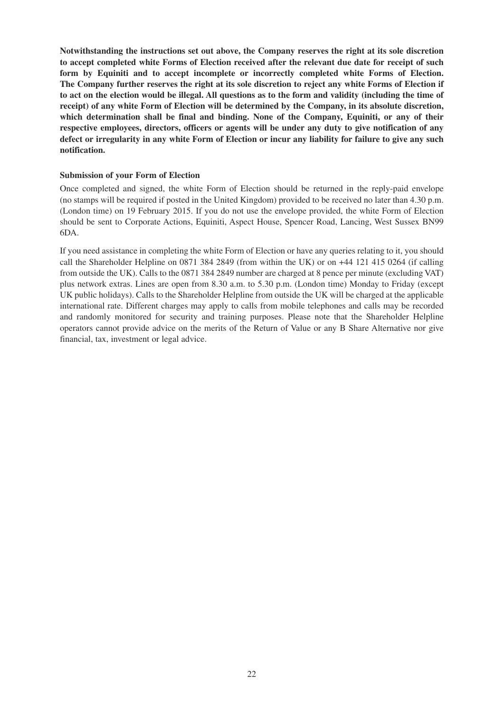**Notwithstanding the instructions set out above, the Company reserves the right at its sole discretion to accept completed white Forms of Election received after the relevant due date for receipt of such form by Equiniti and to accept incomplete or incorrectly completed white Forms of Election. The Company further reserves the right at its sole discretion to reject any white Forms of Election if to act on the election would be illegal. All questions as to the form and validity (including the time of receipt) of any white Form of Election will be determined by the Company, in its absolute discretion, which determination shall be final and binding. None of the Company, Equiniti, or any of their respective employees, directors, officers or agents will be under any duty to give notification of any defect or irregularity in any white Form of Election or incur any liability for failure to give any such notification.**

#### **Submission of your Form of Election**

Once completed and signed, the white Form of Election should be returned in the reply-paid envelope (no stamps will be required if posted in the United Kingdom) provided to be received no later than 4.30 p.m. (London time) on 19 February 2015. If you do not use the envelope provided, the white Form of Election should be sent to Corporate Actions, Equiniti, Aspect House, Spencer Road, Lancing, West Sussex BN99 6DA.

If you need assistance in completing the white Form of Election or have any queries relating to it, you should call the Shareholder Helpline on 0871 384 2849 (from within the UK) or on +44 121 415 0264 (if calling from outside the UK). Calls to the 0871 384 2849 number are charged at 8 pence per minute (excluding VAT) plus network extras. Lines are open from 8.30 a.m. to 5.30 p.m. (London time) Monday to Friday (except UK public holidays). Calls to the Shareholder Helpline from outside the UK will be charged at the applicable international rate. Different charges may apply to calls from mobile telephones and calls may be recorded and randomly monitored for security and training purposes. Please note that the Shareholder Helpline operators cannot provide advice on the merits of the Return of Value or any B Share Alternative nor give financial, tax, investment or legal advice.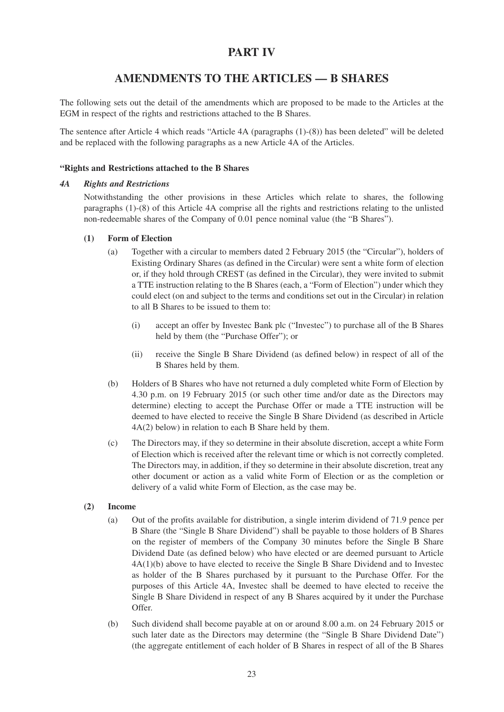# **PART IV**

# **AMENDMENTS TO THE ARTICLES — B SHARES**

The following sets out the detail of the amendments which are proposed to be made to the Articles at the EGM in respect of the rights and restrictions attached to the B Shares.

The sentence after Article 4 which reads "Article 4A (paragraphs (1)-(8)) has been deleted" will be deleted and be replaced with the following paragraphs as a new Article 4A of the Articles.

## **"Rights and Restrictions attached to the B Shares**

#### *4A Rights and Restrictions*

Notwithstanding the other provisions in these Articles which relate to shares, the following paragraphs (1)-(8) of this Article 4A comprise all the rights and restrictions relating to the unlisted non-redeemable shares of the Company of 0.01 pence nominal value (the "B Shares").

#### **(1) Form of Election**

- (a) Together with a circular to members dated 2 February 2015 (the "Circular"), holders of Existing Ordinary Shares (as defined in the Circular) were sent a white form of election or, if they hold through CREST (as defined in the Circular), they were invited to submit a TTE instruction relating to the B Shares (each, a "Form of Election") under which they could elect (on and subject to the terms and conditions set out in the Circular) in relation to all B Shares to be issued to them to:
	- (i) accept an offer by Investec Bank plc ("Investec") to purchase all of the B Shares held by them (the "Purchase Offer"); or
	- (ii) receive the Single B Share Dividend (as defined below) in respect of all of the B Shares held by them.
- (b) Holders of B Shares who have not returned a duly completed white Form of Election by 4.30 p.m. on 19 February 2015 (or such other time and/or date as the Directors may determine) electing to accept the Purchase Offer or made a TTE instruction will be deemed to have elected to receive the Single B Share Dividend (as described in Article 4A(2) below) in relation to each B Share held by them.
- (c) The Directors may, if they so determine in their absolute discretion, accept a white Form of Election which is received after the relevant time or which is not correctly completed. The Directors may, in addition, if they so determine in their absolute discretion, treat any other document or action as a valid white Form of Election or as the completion or delivery of a valid white Form of Election, as the case may be.

## **(2) Income**

- (a) Out of the profits available for distribution, a single interim dividend of 71.9 pence per B Share (the "Single B Share Dividend") shall be payable to those holders of B Shares on the register of members of the Company 30 minutes before the Single B Share Dividend Date (as defined below) who have elected or are deemed pursuant to Article 4A(1)(b) above to have elected to receive the Single B Share Dividend and to Investec as holder of the B Shares purchased by it pursuant to the Purchase Offer. For the purposes of this Article 4A, Investec shall be deemed to have elected to receive the Single B Share Dividend in respect of any B Shares acquired by it under the Purchase Offer.
- (b) Such dividend shall become payable at on or around 8.00 a.m. on 24 February 2015 or such later date as the Directors may determine (the "Single B Share Dividend Date") (the aggregate entitlement of each holder of B Shares in respect of all of the B Shares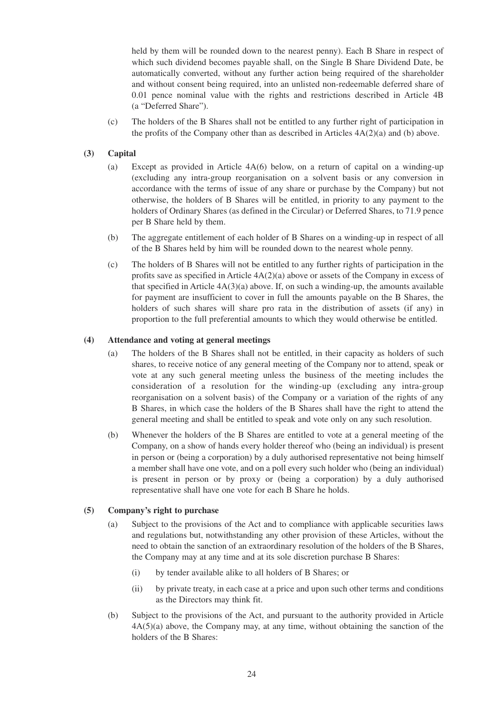held by them will be rounded down to the nearest penny). Each B Share in respect of which such dividend becomes payable shall, on the Single B Share Dividend Date, be automatically converted, without any further action being required of the shareholder and without consent being required, into an unlisted non-redeemable deferred share of 0.01 pence nominal value with the rights and restrictions described in Article 4B (a "Deferred Share").

(c) The holders of the B Shares shall not be entitled to any further right of participation in the profits of the Company other than as described in Articles  $4A(2)(a)$  and (b) above.

## **(3) Capital**

- (a) Except as provided in Article 4A(6) below, on a return of capital on a winding-up (excluding any intra-group reorganisation on a solvent basis or any conversion in accordance with the terms of issue of any share or purchase by the Company) but not otherwise, the holders of B Shares will be entitled, in priority to any payment to the holders of Ordinary Shares (as defined in the Circular) or Deferred Shares, to 71.9 pence per B Share held by them.
- (b) The aggregate entitlement of each holder of B Shares on a winding-up in respect of all of the B Shares held by him will be rounded down to the nearest whole penny.
- (c) The holders of B Shares will not be entitled to any further rights of participation in the profits save as specified in Article  $4A(2)(a)$  above or assets of the Company in excess of that specified in Article  $4A(3)(a)$  above. If, on such a winding-up, the amounts available for payment are insufficient to cover in full the amounts payable on the B Shares, the holders of such shares will share pro rata in the distribution of assets (if any) in proportion to the full preferential amounts to which they would otherwise be entitled.

## **(4) Attendance and voting at general meetings**

- (a) The holders of the B Shares shall not be entitled, in their capacity as holders of such shares, to receive notice of any general meeting of the Company nor to attend, speak or vote at any such general meeting unless the business of the meeting includes the consideration of a resolution for the winding-up (excluding any intra-group reorganisation on a solvent basis) of the Company or a variation of the rights of any B Shares, in which case the holders of the B Shares shall have the right to attend the general meeting and shall be entitled to speak and vote only on any such resolution.
- (b) Whenever the holders of the B Shares are entitled to vote at a general meeting of the Company, on a show of hands every holder thereof who (being an individual) is present in person or (being a corporation) by a duly authorised representative not being himself a member shall have one vote, and on a poll every such holder who (being an individual) is present in person or by proxy or (being a corporation) by a duly authorised representative shall have one vote for each B Share he holds.

## **(5) Company's right to purchase**

- (a) Subject to the provisions of the Act and to compliance with applicable securities laws and regulations but, notwithstanding any other provision of these Articles, without the need to obtain the sanction of an extraordinary resolution of the holders of the B Shares, the Company may at any time and at its sole discretion purchase B Shares:
	- (i) by tender available alike to all holders of B Shares; or
	- (ii) by private treaty, in each case at a price and upon such other terms and conditions as the Directors may think fit.
- (b) Subject to the provisions of the Act, and pursuant to the authority provided in Article 4A(5)(a) above, the Company may, at any time, without obtaining the sanction of the holders of the B Shares: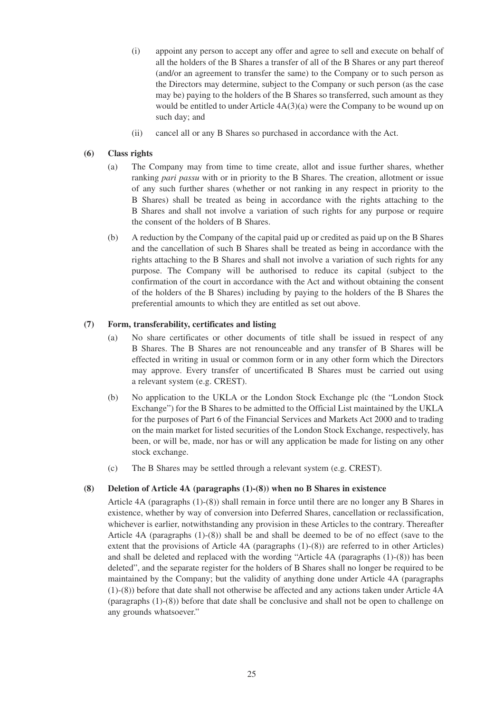- (i) appoint any person to accept any offer and agree to sell and execute on behalf of all the holders of the B Shares a transfer of all of the B Shares or any part thereof (and/or an agreement to transfer the same) to the Company or to such person as the Directors may determine, subject to the Company or such person (as the case may be) paying to the holders of the B Shares so transferred, such amount as they would be entitled to under Article 4A(3)(a) were the Company to be wound up on such day; and
- (ii) cancel all or any B Shares so purchased in accordance with the Act.

## **(6) Class rights**

- (a) The Company may from time to time create, allot and issue further shares, whether ranking *pari passu* with or in priority to the B Shares. The creation, allotment or issue of any such further shares (whether or not ranking in any respect in priority to the B Shares) shall be treated as being in accordance with the rights attaching to the B Shares and shall not involve a variation of such rights for any purpose or require the consent of the holders of B Shares.
- (b) A reduction by the Company of the capital paid up or credited as paid up on the B Shares and the cancellation of such B Shares shall be treated as being in accordance with the rights attaching to the B Shares and shall not involve a variation of such rights for any purpose. The Company will be authorised to reduce its capital (subject to the confirmation of the court in accordance with the Act and without obtaining the consent of the holders of the B Shares) including by paying to the holders of the B Shares the preferential amounts to which they are entitled as set out above.

#### **(7) Form, transferability, certificates and listing**

- (a) No share certificates or other documents of title shall be issued in respect of any B Shares. The B Shares are not renounceable and any transfer of B Shares will be effected in writing in usual or common form or in any other form which the Directors may approve. Every transfer of uncertificated B Shares must be carried out using a relevant system (e.g. CREST).
- (b) No application to the UKLA or the London Stock Exchange plc (the "London Stock Exchange") for the B Shares to be admitted to the Official List maintained by the UKLA for the purposes of Part 6 of the Financial Services and Markets Act 2000 and to trading on the main market for listed securities of the London Stock Exchange, respectively, has been, or will be, made, nor has or will any application be made for listing on any other stock exchange.
- (c) The B Shares may be settled through a relevant system (e.g. CREST).

#### **(8) Deletion of Article 4A (paragraphs (1)-(8)) when no B Shares in existence**

Article 4A (paragraphs (1)-(8)) shall remain in force until there are no longer any B Shares in existence, whether by way of conversion into Deferred Shares, cancellation or reclassification, whichever is earlier, notwithstanding any provision in these Articles to the contrary. Thereafter Article 4A (paragraphs (1)-(8)) shall be and shall be deemed to be of no effect (save to the extent that the provisions of Article 4A (paragraphs (1)-(8)) are referred to in other Articles) and shall be deleted and replaced with the wording "Article 4A (paragraphs (1)-(8)) has been deleted", and the separate register for the holders of B Shares shall no longer be required to be maintained by the Company; but the validity of anything done under Article 4A (paragraphs (1)-(8)) before that date shall not otherwise be affected and any actions taken under Article 4A (paragraphs (1)-(8)) before that date shall be conclusive and shall not be open to challenge on any grounds whatsoever."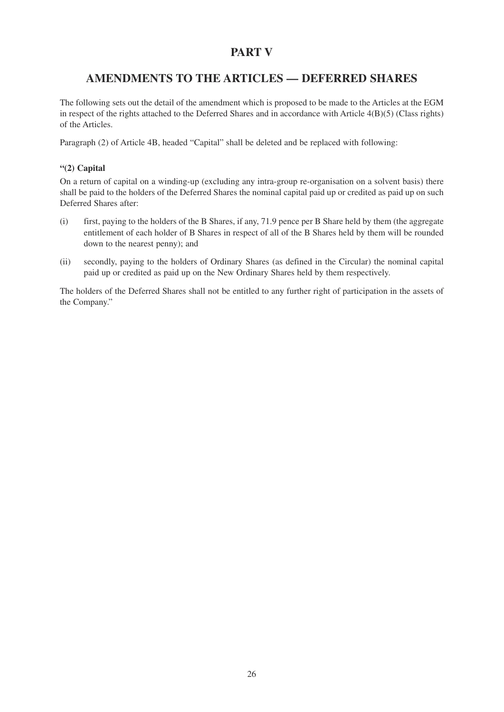# **PART V**

# **AMENDMENTS TO THE ARTICLES — DEFERRED SHARES**

The following sets out the detail of the amendment which is proposed to be made to the Articles at the EGM in respect of the rights attached to the Deferred Shares and in accordance with Article 4(B)(5) (Class rights) of the Articles.

Paragraph (2) of Article 4B, headed "Capital" shall be deleted and be replaced with following:

# **"(2) Capital**

On a return of capital on a winding-up (excluding any intra-group re-organisation on a solvent basis) there shall be paid to the holders of the Deferred Shares the nominal capital paid up or credited as paid up on such Deferred Shares after:

- (i) first, paying to the holders of the B Shares, if any, 71.9 pence per B Share held by them (the aggregate entitlement of each holder of B Shares in respect of all of the B Shares held by them will be rounded down to the nearest penny); and
- (ii) secondly, paying to the holders of Ordinary Shares (as defined in the Circular) the nominal capital paid up or credited as paid up on the New Ordinary Shares held by them respectively.

The holders of the Deferred Shares shall not be entitled to any further right of participation in the assets of the Company."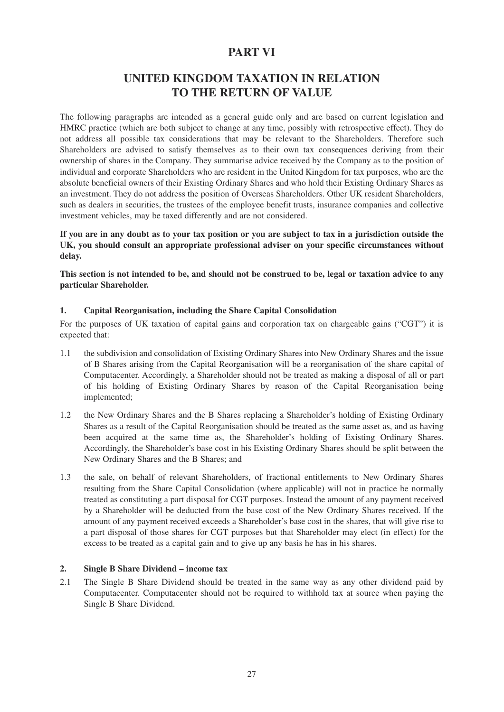# **PART VI**

# **UNITED KINGDOM TAXATION IN RELATION TO THE RETURN OF VALUE**

The following paragraphs are intended as a general guide only and are based on current legislation and HMRC practice (which are both subject to change at any time, possibly with retrospective effect). They do not address all possible tax considerations that may be relevant to the Shareholders. Therefore such Shareholders are advised to satisfy themselves as to their own tax consequences deriving from their ownership of shares in the Company. They summarise advice received by the Company as to the position of individual and corporate Shareholders who are resident in the United Kingdom for tax purposes, who are the absolute beneficial owners of their Existing Ordinary Shares and who hold their Existing Ordinary Shares as an investment. They do not address the position of Overseas Shareholders. Other UK resident Shareholders, such as dealers in securities, the trustees of the employee benefit trusts, insurance companies and collective investment vehicles, may be taxed differently and are not considered.

**If you are in any doubt as to your tax position or you are subject to tax in a jurisdiction outside the UK, you should consult an appropriate professional adviser on your specific circumstances without delay.**

**This section is not intended to be, and should not be construed to be, legal or taxation advice to any particular Shareholder.**

## **1. Capital Reorganisation, including the Share Capital Consolidation**

For the purposes of UK taxation of capital gains and corporation tax on chargeable gains ("CGT") it is expected that:

- 1.1 the subdivision and consolidation of Existing Ordinary Shares into New Ordinary Shares and the issue of B Shares arising from the Capital Reorganisation will be a reorganisation of the share capital of Computacenter. Accordingly, a Shareholder should not be treated as making a disposal of all or part of his holding of Existing Ordinary Shares by reason of the Capital Reorganisation being implemented;
- 1.2 the New Ordinary Shares and the B Shares replacing a Shareholder's holding of Existing Ordinary Shares as a result of the Capital Reorganisation should be treated as the same asset as, and as having been acquired at the same time as, the Shareholder's holding of Existing Ordinary Shares. Accordingly, the Shareholder's base cost in his Existing Ordinary Shares should be split between the New Ordinary Shares and the B Shares; and
- 1.3 the sale, on behalf of relevant Shareholders, of fractional entitlements to New Ordinary Shares resulting from the Share Capital Consolidation (where applicable) will not in practice be normally treated as constituting a part disposal for CGT purposes. Instead the amount of any payment received by a Shareholder will be deducted from the base cost of the New Ordinary Shares received. If the amount of any payment received exceeds a Shareholder's base cost in the shares, that will give rise to a part disposal of those shares for CGT purposes but that Shareholder may elect (in effect) for the excess to be treated as a capital gain and to give up any basis he has in his shares.

# **2. Single B Share Dividend – income tax**

2.1 The Single B Share Dividend should be treated in the same way as any other dividend paid by Computacenter. Computacenter should not be required to withhold tax at source when paying the Single B Share Dividend.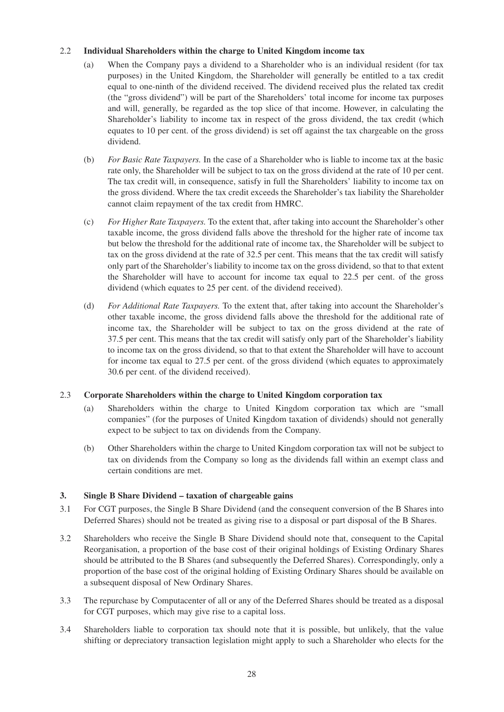# 2.2**Individual Shareholders within the charge to United Kingdom income tax**

- (a) When the Company pays a dividend to a Shareholder who is an individual resident (for tax purposes) in the United Kingdom, the Shareholder will generally be entitled to a tax credit equal to one-ninth of the dividend received. The dividend received plus the related tax credit (the "gross dividend") will be part of the Shareholders' total income for income tax purposes and will, generally, be regarded as the top slice of that income. However, in calculating the Shareholder's liability to income tax in respect of the gross dividend, the tax credit (which equates to 10 per cent. of the gross dividend) is set off against the tax chargeable on the gross dividend.
- (b) *For Basic Rate Taxpayers.* In the case of a Shareholder who is liable to income tax at the basic rate only, the Shareholder will be subject to tax on the gross dividend at the rate of 10 per cent. The tax credit will, in consequence, satisfy in full the Shareholders' liability to income tax on the gross dividend. Where the tax credit exceeds the Shareholder's tax liability the Shareholder cannot claim repayment of the tax credit from HMRC.
- (c) *For Higher Rate Taxpayers.* To the extent that, after taking into account the Shareholder's other taxable income, the gross dividend falls above the threshold for the higher rate of income tax but below the threshold for the additional rate of income tax, the Shareholder will be subject to tax on the gross dividend at the rate of 32.5 per cent. This means that the tax credit will satisfy only part of the Shareholder's liability to income tax on the gross dividend, so that to that extent the Shareholder will have to account for income tax equal to 22.5 per cent. of the gross dividend (which equates to 25 per cent. of the dividend received).
- (d) *For Additional Rate Taxpayers.* To the extent that, after taking into account the Shareholder's other taxable income, the gross dividend falls above the threshold for the additional rate of income tax, the Shareholder will be subject to tax on the gross dividend at the rate of 37.5 per cent. This means that the tax credit will satisfy only part of the Shareholder's liability to income tax on the gross dividend, so that to that extent the Shareholder will have to account for income tax equal to 27.5 per cent. of the gross dividend (which equates to approximately 30.6 per cent. of the dividend received).

## 2.3**Corporate Shareholders within the charge to United Kingdom corporation tax**

- (a) Shareholders within the charge to United Kingdom corporation tax which are "small companies" (for the purposes of United Kingdom taxation of dividends) should not generally expect to be subject to tax on dividends from the Company.
- (b) Other Shareholders within the charge to United Kingdom corporation tax will not be subject to tax on dividends from the Company so long as the dividends fall within an exempt class and certain conditions are met.

## **3. Single B Share Dividend – taxation of chargeable gains**

- 3.1 For CGT purposes, the Single B Share Dividend (and the consequent conversion of the B Shares into Deferred Shares) should not be treated as giving rise to a disposal or part disposal of the B Shares.
- 3.2 Shareholders who receive the Single B Share Dividend should note that, consequent to the Capital Reorganisation, a proportion of the base cost of their original holdings of Existing Ordinary Shares should be attributed to the B Shares (and subsequently the Deferred Shares). Correspondingly, only a proportion of the base cost of the original holding of Existing Ordinary Shares should be available on a subsequent disposal of New Ordinary Shares.
- 3.3 The repurchase by Computacenter of all or any of the Deferred Shares should be treated as a disposal for CGT purposes, which may give rise to a capital loss.
- 3.4 Shareholders liable to corporation tax should note that it is possible, but unlikely, that the value shifting or depreciatory transaction legislation might apply to such a Shareholder who elects for the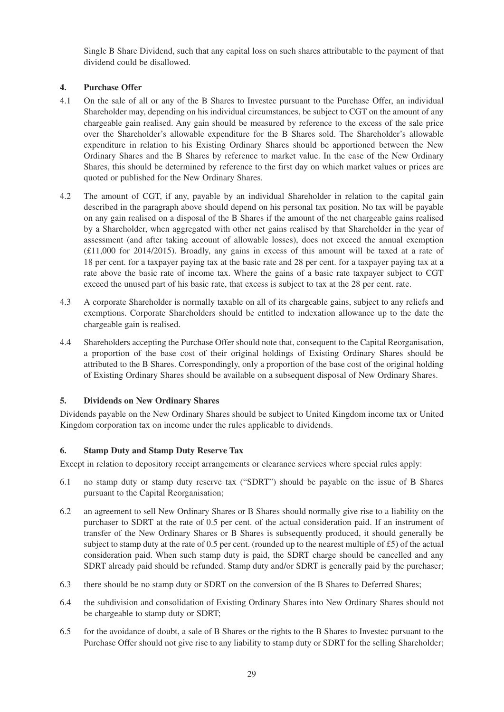Single B Share Dividend, such that any capital loss on such shares attributable to the payment of that dividend could be disallowed.

# **4. Purchase Offer**

- 4.1 On the sale of all or any of the B Shares to Investec pursuant to the Purchase Offer, an individual Shareholder may, depending on his individual circumstances, be subject to CGT on the amount of any chargeable gain realised. Any gain should be measured by reference to the excess of the sale price over the Shareholder's allowable expenditure for the B Shares sold. The Shareholder's allowable expenditure in relation to his Existing Ordinary Shares should be apportioned between the New Ordinary Shares and the B Shares by reference to market value. In the case of the New Ordinary Shares, this should be determined by reference to the first day on which market values or prices are quoted or published for the New Ordinary Shares.
- 4.2 The amount of CGT, if any, payable by an individual Shareholder in relation to the capital gain described in the paragraph above should depend on his personal tax position. No tax will be payable on any gain realised on a disposal of the B Shares if the amount of the net chargeable gains realised by a Shareholder, when aggregated with other net gains realised by that Shareholder in the year of assessment (and after taking account of allowable losses), does not exceed the annual exemption  $(£11,000$  for 2014/2015). Broadly, any gains in excess of this amount will be taxed at a rate of 18 per cent. for a taxpayer paying tax at the basic rate and 28 per cent. for a taxpayer paying tax at a rate above the basic rate of income tax. Where the gains of a basic rate taxpayer subject to CGT exceed the unused part of his basic rate, that excess is subject to tax at the 28 per cent. rate.
- 4.3 A corporate Shareholder is normally taxable on all of its chargeable gains, subject to any reliefs and exemptions. Corporate Shareholders should be entitled to indexation allowance up to the date the chargeable gain is realised.
- 4.4 Shareholders accepting the Purchase Offer should note that, consequent to the Capital Reorganisation, a proportion of the base cost of their original holdings of Existing Ordinary Shares should be attributed to the B Shares. Correspondingly, only a proportion of the base cost of the original holding of Existing Ordinary Shares should be available on a subsequent disposal of New Ordinary Shares.

## **5. Dividends on New Ordinary Shares**

Dividends payable on the New Ordinary Shares should be subject to United Kingdom income tax or United Kingdom corporation tax on income under the rules applicable to dividends.

## **6. Stamp Duty and Stamp Duty Reserve Tax**

Except in relation to depository receipt arrangements or clearance services where special rules apply:

- 6.1 no stamp duty or stamp duty reserve tax ("SDRT") should be payable on the issue of B Shares pursuant to the Capital Reorganisation;
- 6.2 an agreement to sell New Ordinary Shares or B Shares should normally give rise to a liability on the purchaser to SDRT at the rate of 0.5 per cent. of the actual consideration paid. If an instrument of transfer of the New Ordinary Shares or B Shares is subsequently produced, it should generally be subject to stamp duty at the rate of 0.5 per cent. (rounded up to the nearest multiple of £5) of the actual consideration paid. When such stamp duty is paid, the SDRT charge should be cancelled and any SDRT already paid should be refunded. Stamp duty and/or SDRT is generally paid by the purchaser;
- 6.3 there should be no stamp duty or SDRT on the conversion of the B Shares to Deferred Shares;
- 6.4 the subdivision and consolidation of Existing Ordinary Shares into New Ordinary Shares should not be chargeable to stamp duty or SDRT;
- 6.5 for the avoidance of doubt, a sale of B Shares or the rights to the B Shares to Investec pursuant to the Purchase Offer should not give rise to any liability to stamp duty or SDRT for the selling Shareholder;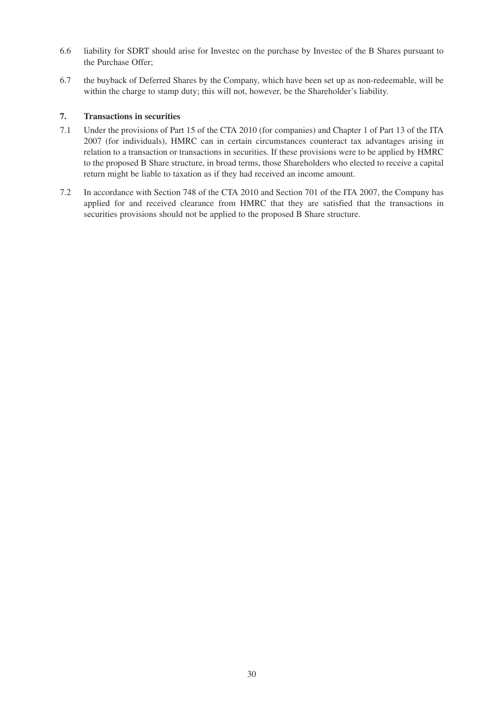- 6.6 liability for SDRT should arise for Investec on the purchase by Investec of the B Shares pursuant to the Purchase Offer;
- 6.7 the buyback of Deferred Shares by the Company, which have been set up as non-redeemable, will be within the charge to stamp duty; this will not, however, be the Shareholder's liability.

## **7. Transactions in securities**

- 7.1 Under the provisions of Part 15 of the CTA 2010 (for companies) and Chapter 1 of Part 13 of the ITA 2007 (for individuals), HMRC can in certain circumstances counteract tax advantages arising in relation to a transaction or transactions in securities. If these provisions were to be applied by HMRC to the proposed B Share structure, in broad terms, those Shareholders who elected to receive a capital return might be liable to taxation as if they had received an income amount.
- 7.2 In accordance with Section 748 of the CTA 2010 and Section 701 of the ITA 2007, the Company has applied for and received clearance from HMRC that they are satisfied that the transactions in securities provisions should not be applied to the proposed B Share structure.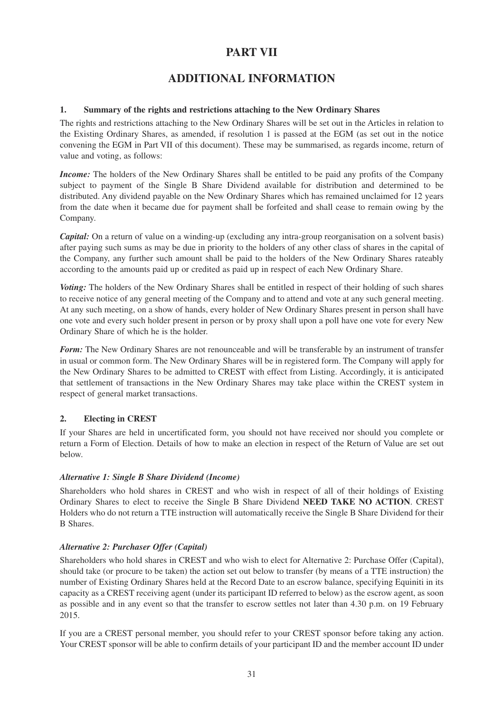# **PART VII**

# **ADDITIONAL INFORMATION**

# **1. Summary of the rights and restrictions attaching to the New Ordinary Shares**

The rights and restrictions attaching to the New Ordinary Shares will be set out in the Articles in relation to the Existing Ordinary Shares, as amended, if resolution 1 is passed at the EGM (as set out in the notice convening the EGM in Part VII of this document). These may be summarised, as regards income, return of value and voting, as follows:

*Income:* The holders of the New Ordinary Shares shall be entitled to be paid any profits of the Company subject to payment of the Single B Share Dividend available for distribution and determined to be distributed. Any dividend payable on the New Ordinary Shares which has remained unclaimed for 12 years from the date when it became due for payment shall be forfeited and shall cease to remain owing by the Company.

*Capital:* On a return of value on a winding-up (excluding any intra-group reorganisation on a solvent basis) after paying such sums as may be due in priority to the holders of any other class of shares in the capital of the Company, any further such amount shall be paid to the holders of the New Ordinary Shares rateably according to the amounts paid up or credited as paid up in respect of each New Ordinary Share.

*Voting:* The holders of the New Ordinary Shares shall be entitled in respect of their holding of such shares to receive notice of any general meeting of the Company and to attend and vote at any such general meeting. At any such meeting, on a show of hands, every holder of New Ordinary Shares present in person shall have one vote and every such holder present in person or by proxy shall upon a poll have one vote for every New Ordinary Share of which he is the holder.

*Form:* The New Ordinary Shares are not renounceable and will be transferable by an instrument of transfer in usual or common form. The New Ordinary Shares will be in registered form. The Company will apply for the New Ordinary Shares to be admitted to CREST with effect from Listing. Accordingly, it is anticipated that settlement of transactions in the New Ordinary Shares may take place within the CREST system in respect of general market transactions.

## **2. Electing in CREST**

If your Shares are held in uncertificated form, you should not have received nor should you complete or return a Form of Election. Details of how to make an election in respect of the Return of Value are set out below.

## *Alternative 1: Single B Share Dividend (Income)*

Shareholders who hold shares in CREST and who wish in respect of all of their holdings of Existing Ordinary Shares to elect to receive the Single B Share Dividend **NEED TAKE NO ACTION**. CREST Holders who do not return a TTE instruction will automatically receive the Single B Share Dividend for their B Shares.

# *Alternative 2: Purchaser Offer (Capital)*

Shareholders who hold shares in CREST and who wish to elect for Alternative 2: Purchase Offer (Capital), should take (or procure to be taken) the action set out below to transfer (by means of a TTE instruction) the number of Existing Ordinary Shares held at the Record Date to an escrow balance, specifying Equiniti in its capacity as a CREST receiving agent (under its participant ID referred to below) as the escrow agent, as soon as possible and in any event so that the transfer to escrow settles not later than 4.30 p.m. on 19 February 2015.

If you are a CREST personal member, you should refer to your CREST sponsor before taking any action. Your CREST sponsor will be able to confirm details of your participant ID and the member account ID under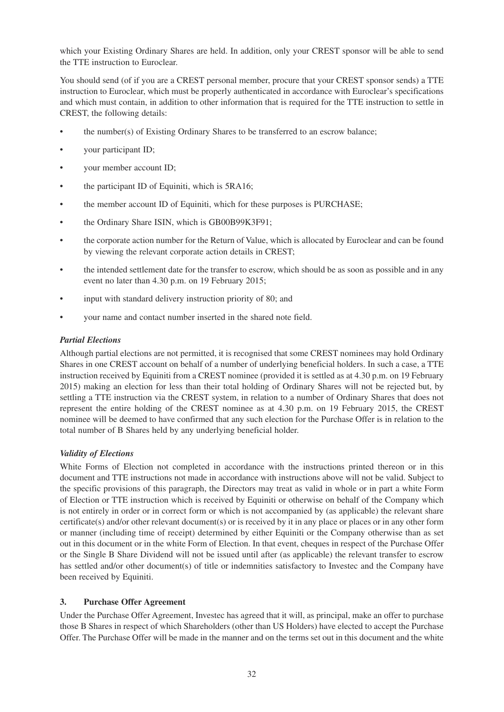which your Existing Ordinary Shares are held. In addition, only your CREST sponsor will be able to send the TTE instruction to Euroclear.

You should send (of if you are a CREST personal member, procure that your CREST sponsor sends) a TTE instruction to Euroclear, which must be properly authenticated in accordance with Euroclear's specifications and which must contain, in addition to other information that is required for the TTE instruction to settle in CREST, the following details:

- the number(s) of Existing Ordinary Shares to be transferred to an escrow balance;
- your participant ID;
- your member account ID;
- the participant ID of Equiniti, which is 5RA16;
- the member account ID of Equiniti, which for these purposes is PURCHASE;
- the Ordinary Share ISIN, which is GB00B99K3F91;
- the corporate action number for the Return of Value, which is allocated by Euroclear and can be found by viewing the relevant corporate action details in CREST;
- the intended settlement date for the transfer to escrow, which should be as soon as possible and in any event no later than 4.30 p.m. on 19 February 2015;
- input with standard delivery instruction priority of 80; and
- your name and contact number inserted in the shared note field.

## *Partial Elections*

Although partial elections are not permitted, it is recognised that some CREST nominees may hold Ordinary Shares in one CREST account on behalf of a number of underlying beneficial holders. In such a case, a TTE instruction received by Equiniti from a CREST nominee (provided it is settled as at 4.30 p.m. on 19 February 2015) making an election for less than their total holding of Ordinary Shares will not be rejected but, by settling a TTE instruction via the CREST system, in relation to a number of Ordinary Shares that does not represent the entire holding of the CREST nominee as at 4.30 p.m. on 19 February 2015, the CREST nominee will be deemed to have confirmed that any such election for the Purchase Offer is in relation to the total number of B Shares held by any underlying beneficial holder.

## *Validity of Elections*

White Forms of Election not completed in accordance with the instructions printed thereon or in this document and TTE instructions not made in accordance with instructions above will not be valid. Subject to the specific provisions of this paragraph, the Directors may treat as valid in whole or in part a white Form of Election or TTE instruction which is received by Equiniti or otherwise on behalf of the Company which is not entirely in order or in correct form or which is not accompanied by (as applicable) the relevant share certificate(s) and/or other relevant document(s) or is received by it in any place or places or in any other form or manner (including time of receipt) determined by either Equiniti or the Company otherwise than as set out in this document or in the white Form of Election. In that event, cheques in respect of the Purchase Offer or the Single B Share Dividend will not be issued until after (as applicable) the relevant transfer to escrow has settled and/or other document(s) of title or indemnities satisfactory to Investec and the Company have been received by Equiniti.

## **3. Purchase Offer Agreement**

Under the Purchase Offer Agreement, Investec has agreed that it will, as principal, make an offer to purchase those B Shares in respect of which Shareholders (other than US Holders) have elected to accept the Purchase Offer. The Purchase Offer will be made in the manner and on the terms set out in this document and the white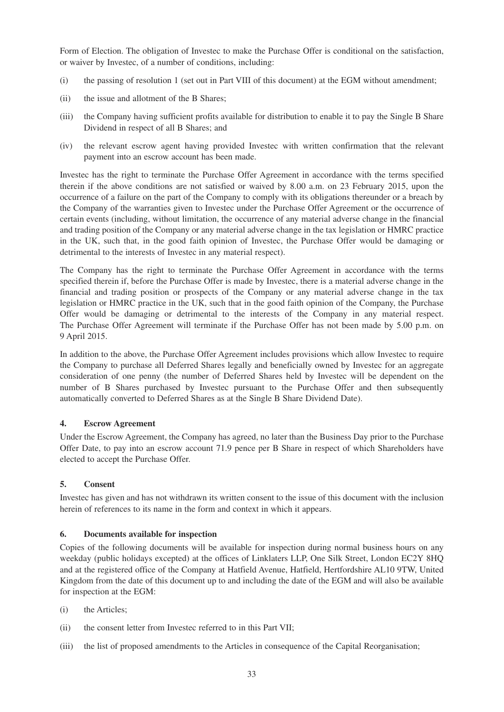Form of Election. The obligation of Investec to make the Purchase Offer is conditional on the satisfaction, or waiver by Investec, of a number of conditions, including:

- (i) the passing of resolution 1 (set out in Part VIII of this document) at the EGM without amendment;
- (ii) the issue and allotment of the B Shares;
- (iii) the Company having sufficient profits available for distribution to enable it to pay the Single B Share Dividend in respect of all B Shares; and
- (iv) the relevant escrow agent having provided Investec with written confirmation that the relevant payment into an escrow account has been made.

Investec has the right to terminate the Purchase Offer Agreement in accordance with the terms specified therein if the above conditions are not satisfied or waived by 8.00 a.m. on 23 February 2015, upon the occurrence of a failure on the part of the Company to comply with its obligations thereunder or a breach by the Company of the warranties given to Investec under the Purchase Offer Agreement or the occurrence of certain events (including, without limitation, the occurrence of any material adverse change in the financial and trading position of the Company or any material adverse change in the tax legislation or HMRC practice in the UK, such that, in the good faith opinion of Investec, the Purchase Offer would be damaging or detrimental to the interests of Investec in any material respect).

The Company has the right to terminate the Purchase Offer Agreement in accordance with the terms specified therein if, before the Purchase Offer is made by Investec, there is a material adverse change in the financial and trading position or prospects of the Company or any material adverse change in the tax legislation or HMRC practice in the UK, such that in the good faith opinion of the Company, the Purchase Offer would be damaging or detrimental to the interests of the Company in any material respect. The Purchase Offer Agreement will terminate if the Purchase Offer has not been made by 5.00 p.m. on 9 April 2015.

In addition to the above, the Purchase Offer Agreement includes provisions which allow Investec to require the Company to purchase all Deferred Shares legally and beneficially owned by Investec for an aggregate consideration of one penny (the number of Deferred Shares held by Investec will be dependent on the number of B Shares purchased by Investec pursuant to the Purchase Offer and then subsequently automatically converted to Deferred Shares as at the Single B Share Dividend Date).

## **4. Escrow Agreement**

Under the Escrow Agreement, the Company has agreed, no later than the Business Day prior to the Purchase Offer Date, to pay into an escrow account 71.9 pence per B Share in respect of which Shareholders have elected to accept the Purchase Offer.

# **5. Consent**

Investec has given and has not withdrawn its written consent to the issue of this document with the inclusion herein of references to its name in the form and context in which it appears.

## **6. Documents available for inspection**

Copies of the following documents will be available for inspection during normal business hours on any weekday (public holidays excepted) at the offices of Linklaters LLP, One Silk Street, London EC2Y 8HQ and at the registered office of the Company at Hatfield Avenue, Hatfield, Hertfordshire AL10 9TW, United Kingdom from the date of this document up to and including the date of the EGM and will also be available for inspection at the EGM:

- (i) the Articles;
- (ii) the consent letter from Investec referred to in this Part VII;
- (iii) the list of proposed amendments to the Articles in consequence of the Capital Reorganisation;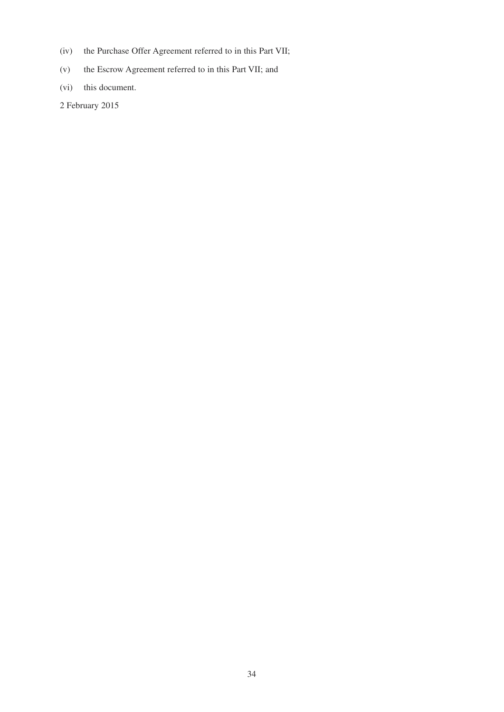- (iv) the Purchase Offer Agreement referred to in this Part VII;
- (v) the Escrow Agreement referred to in this Part VII; and
- (vi) this document.
- 2 February 2015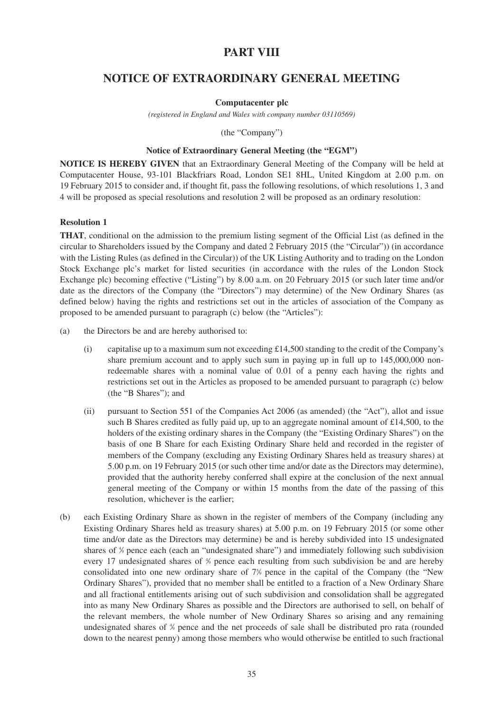# **PART VIII**

# **NOTICE OF EXTRAORDINARY GENERAL MEETING**

### **Computacenter plc**

*(registered in England and Wales with company number 03110569)*

(the "Company")

### **Notice of Extraordinary General Meeting (the "EGM")**

**NOTICE IS HEREBY GIVEN** that an Extraordinary General Meeting of the Company will be held at Computacenter House, 93-101 Blackfriars Road, London SE1 8HL, United Kingdom at 2.00 p.m. on 19 February 2015 to consider and, if thought fit, pass the following resolutions, of which resolutions 1, 3 and 4 will be proposed as special resolutions and resolution 2 will be proposed as an ordinary resolution:

# **Resolution 1**

**THAT**, conditional on the admission to the premium listing segment of the Official List (as defined in the circular to Shareholders issued by the Company and dated 2 February 2015 (the "Circular")) (in accordance with the Listing Rules (as defined in the Circular)) of the UK Listing Authority and to trading on the London Stock Exchange plc's market for listed securities (in accordance with the rules of the London Stock Exchange plc) becoming effective ("Listing") by 8.00 a.m. on 20 February 2015 (or such later time and/or date as the directors of the Company (the "Directors") may determine) of the New Ordinary Shares (as defined below) having the rights and restrictions set out in the articles of association of the Company as proposed to be amended pursuant to paragraph (c) below (the "Articles"):

- (a) the Directors be and are hereby authorised to:
	- (i) capitalise up to a maximum sum not exceeding £14,500 standing to the credit of the Company's share premium account and to apply such sum in paying up in full up to 145,000,000 nonredeemable shares with a nominal value of 0.01 of a penny each having the rights and restrictions set out in the Articles as proposed to be amended pursuant to paragraph (c) below (the "B Shares"); and
	- (ii) pursuant to Section 551 of the Companies Act 2006 (as amended) (the "Act"), allot and issue such B Shares credited as fully paid up, up to an aggregate nominal amount of £14,500, to the holders of the existing ordinary shares in the Company (the "Existing Ordinary Shares") on the basis of one B Share for each Existing Ordinary Share held and recorded in the register of members of the Company (excluding any Existing Ordinary Shares held as treasury shares) at 5.00 p.m. on 19 February 2015 (or such other time and/or date as the Directors may determine), provided that the authority hereby conferred shall expire at the conclusion of the next annual general meeting of the Company or within 15 months from the date of the passing of this resolution, whichever is the earlier;
- (b) each Existing Ordinary Share as shown in the register of members of the Company (including any Existing Ordinary Shares held as treasury shares) at 5.00 p.m. on 19 February 2015 (or some other time and/or date as the Directors may determine) be and is hereby subdivided into 15 undesignated shares of % pence each (each an "undesignated share") and immediately following such subdivision every 17 undesignated shares of  $\frac{4}{3}$  pence each resulting from such subdivision be and are hereby consolidated into one new ordinary share of  $7\%$  pence in the capital of the Company (the "New Ordinary Shares"), provided that no member shall be entitled to a fraction of a New Ordinary Share and all fractional entitlements arising out of such subdivision and consolidation shall be aggregated into as many New Ordinary Shares as possible and the Directors are authorised to sell, on behalf of the relevant members, the whole number of New Ordinary Shares so arising and any remaining undesignated shares of  $\frac{4}{3}$  pence and the net proceeds of sale shall be distributed pro rata (rounded down to the nearest penny) among those members who would otherwise be entitled to such fractional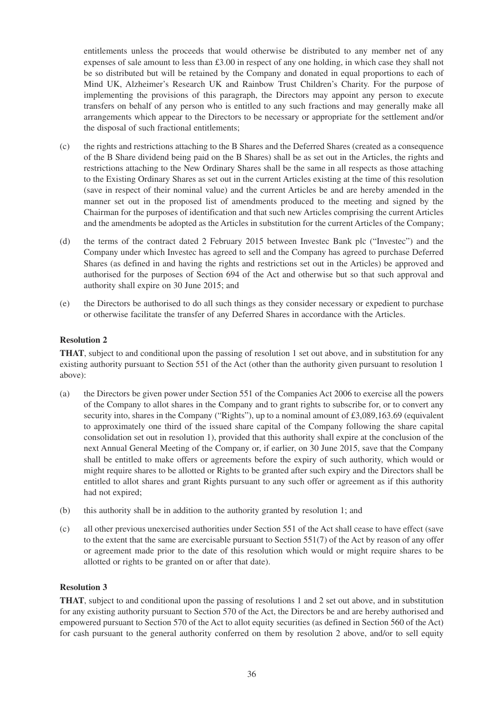entitlements unless the proceeds that would otherwise be distributed to any member net of any expenses of sale amount to less than £3.00 in respect of any one holding, in which case they shall not be so distributed but will be retained by the Company and donated in equal proportions to each of Mind UK, Alzheimer's Research UK and Rainbow Trust Children's Charity. For the purpose of implementing the provisions of this paragraph, the Directors may appoint any person to execute transfers on behalf of any person who is entitled to any such fractions and may generally make all arrangements which appear to the Directors to be necessary or appropriate for the settlement and/or the disposal of such fractional entitlements;

- (c) the rights and restrictions attaching to the B Shares and the Deferred Shares (created as a consequence of the B Share dividend being paid on the B Shares) shall be as set out in the Articles, the rights and restrictions attaching to the New Ordinary Shares shall be the same in all respects as those attaching to the Existing Ordinary Shares as set out in the current Articles existing at the time of this resolution (save in respect of their nominal value) and the current Articles be and are hereby amended in the manner set out in the proposed list of amendments produced to the meeting and signed by the Chairman for the purposes of identification and that such new Articles comprising the current Articles and the amendments be adopted as the Articles in substitution for the current Articles of the Company;
- (d) the terms of the contract dated 2 February 2015 between Investec Bank plc ("Investec") and the Company under which Investec has agreed to sell and the Company has agreed to purchase Deferred Shares (as defined in and having the rights and restrictions set out in the Articles) be approved and authorised for the purposes of Section 694 of the Act and otherwise but so that such approval and authority shall expire on 30 June 2015; and
- (e) the Directors be authorised to do all such things as they consider necessary or expedient to purchase or otherwise facilitate the transfer of any Deferred Shares in accordance with the Articles.

# **Resolution 2**

**THAT**, subject to and conditional upon the passing of resolution 1 set out above, and in substitution for any existing authority pursuant to Section 551 of the Act (other than the authority given pursuant to resolution 1 above):

- (a) the Directors be given power under Section 551 of the Companies Act 2006 to exercise all the powers of the Company to allot shares in the Company and to grant rights to subscribe for, or to convert any security into, shares in the Company ("Rights"), up to a nominal amount of £3,089,163.69 (equivalent to approximately one third of the issued share capital of the Company following the share capital consolidation set out in resolution 1), provided that this authority shall expire at the conclusion of the next Annual General Meeting of the Company or, if earlier, on 30 June 2015, save that the Company shall be entitled to make offers or agreements before the expiry of such authority, which would or might require shares to be allotted or Rights to be granted after such expiry and the Directors shall be entitled to allot shares and grant Rights pursuant to any such offer or agreement as if this authority had not expired;
- (b) this authority shall be in addition to the authority granted by resolution 1; and
- (c) all other previous unexercised authorities under Section 551 of the Act shall cease to have effect (save to the extent that the same are exercisable pursuant to Section  $551(7)$  of the Act by reason of any offer or agreement made prior to the date of this resolution which would or might require shares to be allotted or rights to be granted on or after that date).

# **Resolution 3**

**THAT**, subject to and conditional upon the passing of resolutions 1 and 2 set out above, and in substitution for any existing authority pursuant to Section 570 of the Act, the Directors be and are hereby authorised and empowered pursuant to Section 570 of the Act to allot equity securities (as defined in Section 560 of the Act) for cash pursuant to the general authority conferred on them by resolution 2 above, and/or to sell equity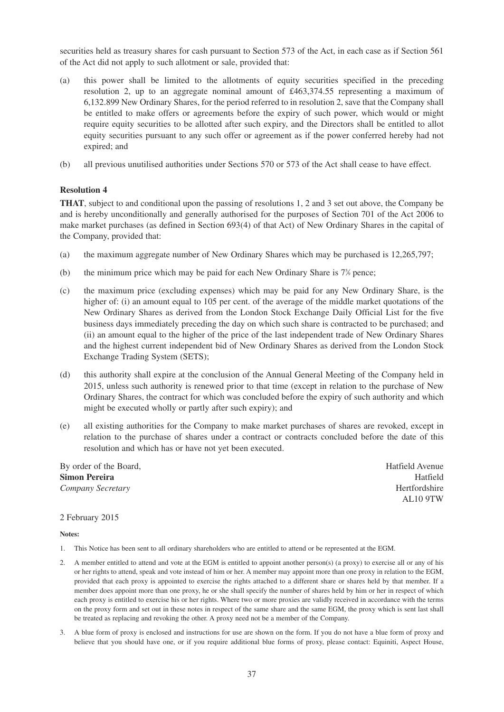securities held as treasury shares for cash pursuant to Section 573 of the Act, in each case as if Section 561 of the Act did not apply to such allotment or sale, provided that:

- (a) this power shall be limited to the allotments of equity securities specified in the preceding resolution 2, up to an aggregate nominal amount of £463,374.55 representing a maximum of 6,132.899 New Ordinary Shares, for the period referred to in resolution 2, save that the Company shall be entitled to make offers or agreements before the expiry of such power, which would or might require equity securities to be allotted after such expiry, and the Directors shall be entitled to allot equity securities pursuant to any such offer or agreement as if the power conferred hereby had not expired; and
- (b) all previous unutilised authorities under Sections 570 or 573 of the Act shall cease to have effect.

#### **Resolution 4**

**THAT**, subject to and conditional upon the passing of resolutions 1, 2 and 3 set out above, the Company be and is hereby unconditionally and generally authorised for the purposes of Section 701 of the Act 2006 to make market purchases (as defined in Section 693(4) of that Act) of New Ordinary Shares in the capital of the Company, provided that:

- (a) the maximum aggregate number of New Ordinary Shares which may be purchased is 12,265,797;
- (b) the minimum price which may be paid for each New Ordinary Share is  $7\%$  pence;
- (c) the maximum price (excluding expenses) which may be paid for any New Ordinary Share, is the higher of: (i) an amount equal to 105 per cent. of the average of the middle market quotations of the New Ordinary Shares as derived from the London Stock Exchange Daily Official List for the five business days immediately preceding the day on which such share is contracted to be purchased; and (ii) an amount equal to the higher of the price of the last independent trade of New Ordinary Shares and the highest current independent bid of New Ordinary Shares as derived from the London Stock Exchange Trading System (SETS);
- (d) this authority shall expire at the conclusion of the Annual General Meeting of the Company held in 2015, unless such authority is renewed prior to that time (except in relation to the purchase of New Ordinary Shares, the contract for which was concluded before the expiry of such authority and which might be executed wholly or partly after such expiry); and
- (e) all existing authorities for the Company to make market purchases of shares are revoked, except in relation to the purchase of shares under a contract or contracts concluded before the date of this resolution and which has or have not yet been executed.

By order of the Board, **Hatfield** Avenue **Simon Pereira** Hatfield *Company Secretary* Hertfordshire

AL10 9TW

2 February 2015

#### **Notes:**

- 1. This Notice has been sent to all ordinary shareholders who are entitled to attend or be represented at the EGM.
- 2. A member entitled to attend and vote at the EGM is entitled to appoint another person(s) (a proxy) to exercise all or any of his or her rights to attend, speak and vote instead of him or her. A member may appoint more than one proxy in relation to the EGM, provided that each proxy is appointed to exercise the rights attached to a different share or shares held by that member. If a member does appoint more than one proxy, he or she shall specify the number of shares held by him or her in respect of which each proxy is entitled to exercise his or her rights. Where two or more proxies are validly received in accordance with the terms on the proxy form and set out in these notes in respect of the same share and the same EGM, the proxy which is sent last shall be treated as replacing and revoking the other. A proxy need not be a member of the Company.
- 3. A blue form of proxy is enclosed and instructions for use are shown on the form. If you do not have a blue form of proxy and believe that you should have one, or if you require additional blue forms of proxy, please contact: Equiniti, Aspect House,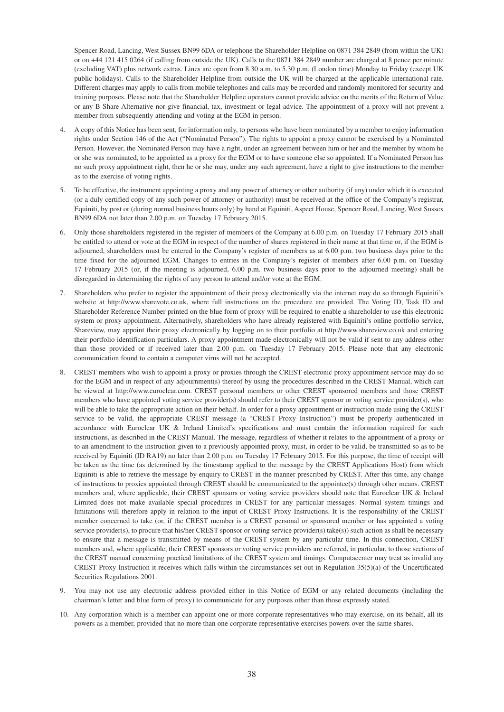Spencer Road, Lancing, West Sussex BN99 6DA or telephone the Shareholder Helpline on 0871 384 2849 (from within the UK) or on +44 121 415 0264 (if calling from outside the UK). Calls to the 0871 384 2849 number are charged at 8 pence per minute (excluding VAT) plus network extras. Lines are open from 8.30 a.m. to 5.30 p.m. (London time) Monday to Friday (except UK public holidays). Calls to the Shareholder Helpline from outside the UK will be charged at the applicable international rate. Different charges may apply to calls from mobile telephones and calls may be recorded and randomly monitored for security and training purposes. Please note that the Shareholder Helpline operators cannot provide advice on the merits of the Return of Value or any B Share Alternative nor give financial, tax, investment or legal advice. The appointment of a proxy will not prevent a member from subsequently attending and voting at the EGM in person.

- 4. A copy of this Notice has been sent, for information only, to persons who have been nominated by a member to enjoy information rights under Section 146 of the Act ("Nominated Person"). The rights to appoint a proxy cannot be exercised by a Nominated Person. However, the Nominated Person may have a right, under an agreement between him or her and the member by whom he or she was nominated, to be appointed as a proxy for the EGM or to have someone else so appointed. If a Nominated Person has no such proxy appointment right, then he or she may, under any such agreement, have a right to give instructions to the member as to the exercise of voting rights.
- 5. To be effective, the instrument appointing a proxy and any power of attorney or other authority (if any) under which it is executed (or a duly certified copy of any such power of attorney or authority) must be received at the office of the Company's registrar, Equiniti, by post or (during normal business hours only) by hand at Equiniti, Aspect House, Spencer Road, Lancing, West Sussex BN99 6DA not later than 2.00 p.m. on Tuesday 17 February 2015.
- 6. Only those shareholders registered in the register of members of the Company at 6.00 p.m. on Tuesday 17 February 2015 shall be entitled to attend or vote at the EGM in respect of the number of shares registered in their name at that time or, if the EGM is adjourned, shareholders must be entered in the Company's register of members as at 6.00 p.m. two business days prior to the time fixed for the adjourned EGM. Changes to entries in the Company's register of members after 6.00 p.m. on Tuesday 17 February 2015 (or, if the meeting is adjourned, 6.00 p.m. two business days prior to the adjourned meeting) shall be disregarded in determining the rights of any person to attend and/or vote at the EGM.
- 7. Shareholders who prefer to register the appointment of their proxy electronically via the internet may do so through Equiniti's website at http://www.sharevote.co.uk, where full instructions on the procedure are provided. The Voting ID, Task ID and Shareholder Reference Number printed on the blue form of proxy will be required to enable a shareholder to use this electronic system or proxy appointment. Alternatively, shareholders who have already registered with Equiniti's online portfolio service, Shareview, may appoint their proxy electronically by logging on to their portfolio at http://www.shareview.co.uk and entering their portfolio identification particulars. A proxy appointment made electronically will not be valid if sent to any address other than those provided or if received later than 2.00 p.m. on Tuesday 17 February 2015. Please note that any electronic communication found to contain a computer virus will not be accepted.
- 8. CREST members who wish to appoint a proxy or proxies through the CREST electronic proxy appointment service may do so for the EGM and in respect of any adjournment(s) thereof by using the procedures described in the CREST Manual, which can be viewed at http://www.euroclear.com. CREST personal members or other CREST sponsored members and those CREST members who have appointed voting service provider(s) should refer to their CREST sponsor or voting service provider(s), who will be able to take the appropriate action on their behalf. In order for a proxy appointment or instruction made using the CREST service to be valid, the appropriate CREST message (a "CREST Proxy Instruction") must be properly authenticated in accordance with Euroclear UK & Ireland Limited's specifications and must contain the information required for such instructions, as described in the CREST Manual. The message, regardless of whether it relates to the appointment of a proxy or to an amendment to the instruction given to a previously appointed proxy, must, in order to be valid, be transmitted so as to be received by Equiniti (ID RA19) no later than 2.00 p.m. on Tuesday 17 February 2015. For this purpose, the time of receipt will be taken as the time (as determined by the timestamp applied to the message by the CREST Applications Host) from which Equiniti is able to retrieve the message by enquiry to CREST in the manner prescribed by CREST. After this time, any change of instructions to proxies appointed through CREST should be communicated to the appointee(s) through other means. CREST members and, where applicable, their CREST sponsors or voting service providers should note that Euroclear UK & Ireland Limited does not make available special procedures in CREST for any particular messages. Normal system timings and limitations will therefore apply in relation to the input of CREST Proxy Instructions. It is the responsibility of the CREST member concerned to take (or, if the CREST member is a CREST personal or sponsored member or has appointed a voting service provider(s), to procure that his/her CREST sponsor or voting service provider(s) take(s)) such action as shall be necessary to ensure that a message is transmitted by means of the CREST system by any particular time. In this connection, CREST members and, where applicable, their CREST sponsors or voting service providers are referred, in particular, to those sections of the CREST manual concerning practical limitations of the CREST system and timings. Computacenter may treat as invalid any CREST Proxy Instruction it receives which falls within the circumstances set out in Regulation 35(5)(a) of the Uncertificated Securities Regulations 2001.
- 9. You may not use any electronic address provided either in this Notice of EGM or any related documents (including the chairman's letter and blue form of proxy) to communicate for any purposes other than those expressly stated.
- 10. Any corporation which is a member can appoint one or more corporate representatives who may exercise, on its behalf, all its powers as a member, provided that no more than one corporate representative exercises powers over the same shares.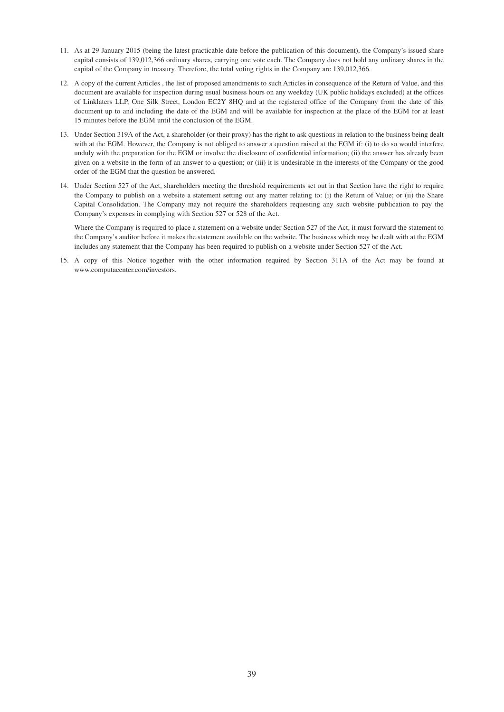- 11. As at 29 January 2015 (being the latest practicable date before the publication of this document), the Company's issued share capital consists of 139,012,366 ordinary shares, carrying one vote each. The Company does not hold any ordinary shares in the capital of the Company in treasury. Therefore, the total voting rights in the Company are 139,012,366.
- 12. A copy of the current Articles , the list of proposed amendments to such Articles in consequence of the Return of Value, and this document are available for inspection during usual business hours on any weekday (UK public holidays excluded) at the offices of Linklaters LLP, One Silk Street, London EC2Y 8HQ and at the registered office of the Company from the date of this document up to and including the date of the EGM and will be available for inspection at the place of the EGM for at least 15 minutes before the EGM until the conclusion of the EGM.
- 13. Under Section 319A of the Act, a shareholder (or their proxy) has the right to ask questions in relation to the business being dealt with at the EGM. However, the Company is not obliged to answer a question raised at the EGM if: (i) to do so would interfere unduly with the preparation for the EGM or involve the disclosure of confidential information; (ii) the answer has already been given on a website in the form of an answer to a question; or (iii) it is undesirable in the interests of the Company or the good order of the EGM that the question be answered.
- 14. Under Section 527 of the Act, shareholders meeting the threshold requirements set out in that Section have the right to require the Company to publish on a website a statement setting out any matter relating to: (i) the Return of Value; or (ii) the Share Capital Consolidation. The Company may not require the shareholders requesting any such website publication to pay the Company's expenses in complying with Section 527 or 528 of the Act.

Where the Company is required to place a statement on a website under Section 527 of the Act, it must forward the statement to the Company's auditor before it makes the statement available on the website. The business which may be dealt with at the EGM includes any statement that the Company has been required to publish on a website under Section 527 of the Act.

15. A copy of this Notice together with the other information required by Section 311A of the Act may be found at www.computacenter.com/investors.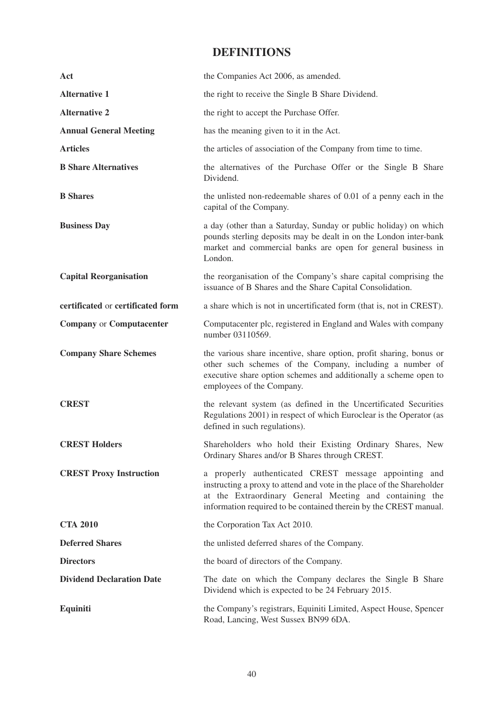# **DEFINITIONS**

| Act                               | the Companies Act 2006, as amended.                                                                                                                                                                                                                             |
|-----------------------------------|-----------------------------------------------------------------------------------------------------------------------------------------------------------------------------------------------------------------------------------------------------------------|
| <b>Alternative 1</b>              | the right to receive the Single B Share Dividend.                                                                                                                                                                                                               |
| <b>Alternative 2</b>              | the right to accept the Purchase Offer.                                                                                                                                                                                                                         |
| <b>Annual General Meeting</b>     | has the meaning given to it in the Act.                                                                                                                                                                                                                         |
| <b>Articles</b>                   | the articles of association of the Company from time to time.                                                                                                                                                                                                   |
| <b>B</b> Share Alternatives       | the alternatives of the Purchase Offer or the Single B Share<br>Dividend.                                                                                                                                                                                       |
| <b>B</b> Shares                   | the unlisted non-redeemable shares of 0.01 of a penny each in the<br>capital of the Company.                                                                                                                                                                    |
| <b>Business Day</b>               | a day (other than a Saturday, Sunday or public holiday) on which<br>pounds sterling deposits may be dealt in on the London inter-bank<br>market and commercial banks are open for general business in<br>London.                                                |
| <b>Capital Reorganisation</b>     | the reorganisation of the Company's share capital comprising the<br>issuance of B Shares and the Share Capital Consolidation.                                                                                                                                   |
| certificated or certificated form | a share which is not in uncertificated form (that is, not in CREST).                                                                                                                                                                                            |
| <b>Company or Computacenter</b>   | Computacenter plc, registered in England and Wales with company<br>number 03110569.                                                                                                                                                                             |
| <b>Company Share Schemes</b>      |                                                                                                                                                                                                                                                                 |
|                                   | the various share incentive, share option, profit sharing, bonus or<br>other such schemes of the Company, including a number of<br>executive share option schemes and additionally a scheme open to<br>employees of the Company.                                |
| <b>CREST</b>                      | the relevant system (as defined in the Uncertificated Securities<br>Regulations 2001) in respect of which Euroclear is the Operator (as<br>defined in such regulations).                                                                                        |
| <b>CREST Holders</b>              | Shareholders who hold their Existing Ordinary Shares, New<br>Ordinary Shares and/or B Shares through CREST.                                                                                                                                                     |
| <b>CREST Proxy Instruction</b>    | a properly authenticated CREST message appointing and<br>instructing a proxy to attend and vote in the place of the Shareholder<br>at the Extraordinary General Meeting and containing the<br>information required to be contained therein by the CREST manual. |
| <b>CTA 2010</b>                   | the Corporation Tax Act 2010.                                                                                                                                                                                                                                   |
| <b>Deferred Shares</b>            | the unlisted deferred shares of the Company.                                                                                                                                                                                                                    |
| <b>Directors</b>                  | the board of directors of the Company.                                                                                                                                                                                                                          |
| <b>Dividend Declaration Date</b>  | The date on which the Company declares the Single B Share<br>Dividend which is expected to be 24 February 2015.                                                                                                                                                 |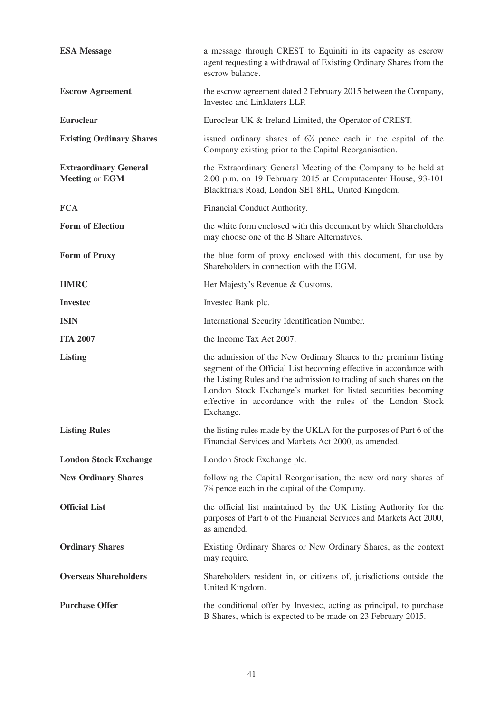| <b>ESA Message</b>                                    | a message through CREST to Equiniti in its capacity as escrow<br>agent requesting a withdrawal of Existing Ordinary Shares from the<br>escrow balance.                                                                                                                                                                                                    |
|-------------------------------------------------------|-----------------------------------------------------------------------------------------------------------------------------------------------------------------------------------------------------------------------------------------------------------------------------------------------------------------------------------------------------------|
| <b>Escrow Agreement</b>                               | the escrow agreement dated 2 February 2015 between the Company,<br>Investec and Linklaters LLP.                                                                                                                                                                                                                                                           |
| <b>Euroclear</b>                                      | Euroclear UK & Ireland Limited, the Operator of CREST.                                                                                                                                                                                                                                                                                                    |
| <b>Existing Ordinary Shares</b>                       | issued ordinary shares of $6\frac{2}{3}$ pence each in the capital of the<br>Company existing prior to the Capital Reorganisation.                                                                                                                                                                                                                        |
| <b>Extraordinary General</b><br><b>Meeting or EGM</b> | the Extraordinary General Meeting of the Company to be held at<br>2.00 p.m. on 19 February 2015 at Computacenter House, 93-101<br>Blackfriars Road, London SE1 8HL, United Kingdom.                                                                                                                                                                       |
| <b>FCA</b>                                            | Financial Conduct Authority.                                                                                                                                                                                                                                                                                                                              |
| <b>Form of Election</b>                               | the white form enclosed with this document by which Shareholders<br>may choose one of the B Share Alternatives.                                                                                                                                                                                                                                           |
| <b>Form of Proxy</b>                                  | the blue form of proxy enclosed with this document, for use by<br>Shareholders in connection with the EGM.                                                                                                                                                                                                                                                |
| <b>HMRC</b>                                           | Her Majesty's Revenue & Customs.                                                                                                                                                                                                                                                                                                                          |
| <b>Invested</b>                                       | Invested Bank plc.                                                                                                                                                                                                                                                                                                                                        |
| <b>ISIN</b>                                           | International Security Identification Number.                                                                                                                                                                                                                                                                                                             |
|                                                       |                                                                                                                                                                                                                                                                                                                                                           |
| <b>ITA 2007</b>                                       | the Income Tax Act 2007.                                                                                                                                                                                                                                                                                                                                  |
| <b>Listing</b>                                        | the admission of the New Ordinary Shares to the premium listing<br>segment of the Official List becoming effective in accordance with<br>the Listing Rules and the admission to trading of such shares on the<br>London Stock Exchange's market for listed securities becoming<br>effective in accordance with the rules of the London Stock<br>Exchange. |
| <b>Listing Rules</b>                                  | the listing rules made by the UKLA for the purposes of Part 6 of the<br>Financial Services and Markets Act 2000, as amended.                                                                                                                                                                                                                              |
| <b>London Stock Exchange</b>                          | London Stock Exchange plc.                                                                                                                                                                                                                                                                                                                                |
| <b>New Ordinary Shares</b>                            | following the Capital Reorganisation, the new ordinary shares of<br>7% pence each in the capital of the Company.                                                                                                                                                                                                                                          |
| <b>Official List</b>                                  | the official list maintained by the UK Listing Authority for the<br>purposes of Part 6 of the Financial Services and Markets Act 2000,<br>as amended.                                                                                                                                                                                                     |
| <b>Ordinary Shares</b>                                | Existing Ordinary Shares or New Ordinary Shares, as the context<br>may require.                                                                                                                                                                                                                                                                           |
| <b>Overseas Shareholders</b>                          | Shareholders resident in, or citizens of, jurisdictions outside the<br>United Kingdom.                                                                                                                                                                                                                                                                    |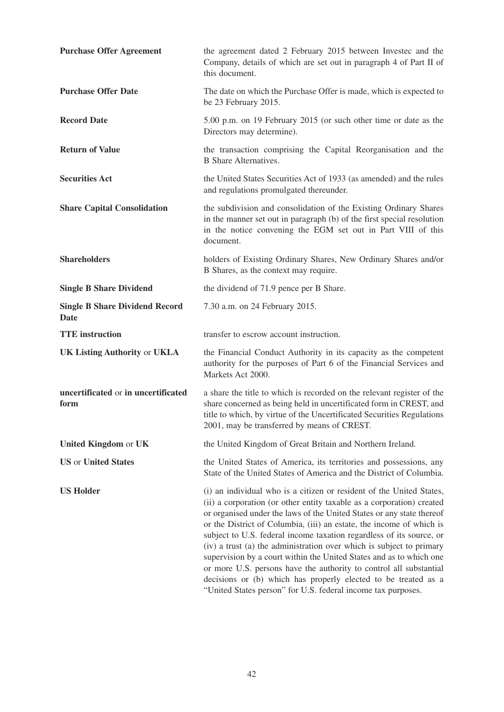| <b>Purchase Offer Agreement</b>                      | the agreement dated 2 February 2015 between Invested and the<br>Company, details of which are set out in paragraph 4 of Part II of<br>this document.                                                                                                                                                                                                                                                                                                                                                                                                                                                                                                                                                                          |
|------------------------------------------------------|-------------------------------------------------------------------------------------------------------------------------------------------------------------------------------------------------------------------------------------------------------------------------------------------------------------------------------------------------------------------------------------------------------------------------------------------------------------------------------------------------------------------------------------------------------------------------------------------------------------------------------------------------------------------------------------------------------------------------------|
| <b>Purchase Offer Date</b>                           | The date on which the Purchase Offer is made, which is expected to<br>be 23 February 2015.                                                                                                                                                                                                                                                                                                                                                                                                                                                                                                                                                                                                                                    |
| <b>Record Date</b>                                   | 5.00 p.m. on 19 February 2015 (or such other time or date as the<br>Directors may determine).                                                                                                                                                                                                                                                                                                                                                                                                                                                                                                                                                                                                                                 |
| <b>Return of Value</b>                               | the transaction comprising the Capital Reorganisation and the<br><b>B</b> Share Alternatives.                                                                                                                                                                                                                                                                                                                                                                                                                                                                                                                                                                                                                                 |
| <b>Securities Act</b>                                | the United States Securities Act of 1933 (as amended) and the rules<br>and regulations promulgated thereunder.                                                                                                                                                                                                                                                                                                                                                                                                                                                                                                                                                                                                                |
| <b>Share Capital Consolidation</b>                   | the subdivision and consolidation of the Existing Ordinary Shares<br>in the manner set out in paragraph (b) of the first special resolution<br>in the notice convening the EGM set out in Part VIII of this<br>document.                                                                                                                                                                                                                                                                                                                                                                                                                                                                                                      |
| <b>Shareholders</b>                                  | holders of Existing Ordinary Shares, New Ordinary Shares and/or<br>B Shares, as the context may require.                                                                                                                                                                                                                                                                                                                                                                                                                                                                                                                                                                                                                      |
| <b>Single B Share Dividend</b>                       | the dividend of 71.9 pence per B Share.                                                                                                                                                                                                                                                                                                                                                                                                                                                                                                                                                                                                                                                                                       |
| <b>Single B Share Dividend Record</b><br><b>Date</b> | 7.30 a.m. on 24 February 2015.                                                                                                                                                                                                                                                                                                                                                                                                                                                                                                                                                                                                                                                                                                |
| <b>TTE</b> instruction                               | transfer to escrow account instruction.                                                                                                                                                                                                                                                                                                                                                                                                                                                                                                                                                                                                                                                                                       |
| <b>UK Listing Authority or UKLA</b>                  | the Financial Conduct Authority in its capacity as the competent<br>authority for the purposes of Part 6 of the Financial Services and<br>Markets Act 2000.                                                                                                                                                                                                                                                                                                                                                                                                                                                                                                                                                                   |
| uncertificated or in uncertificated<br>form          | a share the title to which is recorded on the relevant register of the<br>share concerned as being held in uncertificated form in CREST, and<br>title to which, by virtue of the Uncertificated Securities Regulations<br>2001, may be transferred by means of CREST.                                                                                                                                                                                                                                                                                                                                                                                                                                                         |
| United Kingdom or UK                                 | the United Kingdom of Great Britain and Northern Ireland.                                                                                                                                                                                                                                                                                                                                                                                                                                                                                                                                                                                                                                                                     |
| <b>US</b> or <b>United States</b>                    | the United States of America, its territories and possessions, any<br>State of the United States of America and the District of Columbia.                                                                                                                                                                                                                                                                                                                                                                                                                                                                                                                                                                                     |
| <b>US Holder</b>                                     | (i) an individual who is a citizen or resident of the United States,<br>(ii) a corporation (or other entity taxable as a corporation) created<br>or organised under the laws of the United States or any state thereof<br>or the District of Columbia, (iii) an estate, the income of which is<br>subject to U.S. federal income taxation regardless of its source, or<br>(iv) a trust (a) the administration over which is subject to primary<br>supervision by a court within the United States and as to which one<br>or more U.S. persons have the authority to control all substantial<br>decisions or (b) which has properly elected to be treated as a<br>"United States person" for U.S. federal income tax purposes. |